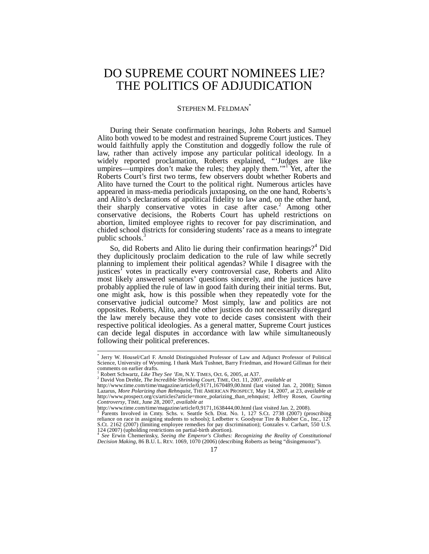# DO SUPREME COURT NOMINEES LIE? THE POLITICS OF ADJUDICATION

# STEPHEN M. FELDMAN<sup>\*</sup>

During their Senate confirmation hearings, John Roberts and Samuel Alito both vowed to be modest and restrained Supreme Court justices. They would faithfully apply the Constitution and doggedly follow the rule of law, rather than actively impose any particular political ideology. In a widely reported proclamation, Roberts explained, "'Judges are like umpires—umpires don't make the rules; they apply them."<sup>19</sup>Yet, after the Roberts Court's first two terms, few observers doubt whether Roberts and Alito have turned the Court to the political right. Numerous articles have appeared in mass-media periodicals juxtaposing, on the one hand, Roberts's and Alito's declarations of apolitical fidelity to law and, on the other hand, their sharply conservative votes in case after case.<sup>2</sup> Among other conservative decisions, the Roberts Court has upheld restrictions on abortion, limited employee rights to recover for pay discrimination, and chided school districts for considering students' race as a means to integrate public schools. $3$ 

So, did Roberts and Alito lie during their confirmation hearings?<sup>4</sup> Did they duplicitously proclaim dedication to the rule of law while secretly planning to implement their political agendas? While I disagree with the justices' votes in practically every controversial case, Roberts and Alito most likely answered senators' questions sincerely, and the justices have probably applied the rule of law in good faith during their initial terms. But, one might ask, how is this possible when they repeatedly vote for the conservative judicial outcome? Most simply, law and politics are not opposites. Roberts, Alito, and the other justices do not necessarily disregard the law merely because they vote to decide cases consistent with their respective political ideologies. As a general matter, Supreme Court justices can decide legal disputes in accordance with law while simultaneously following their political preferences.

 \* Jerry W. Housel/Carl F. Arnold Distinguished Professor of Law and Adjunct Professor of Political Science, University of Wyoming. I thank Mark Tushnet, Barry Friedman, and Howard Gillman for their comments on earlier drafts.<br> $\frac{1}{k}$  Pobert Schwertz, *Like Th*.

Robert Schwartz, *Like They See 'Em*, N.Y. TIMES, Oct. 6, 2005, at A37.

<sup>2</sup> David Von Drehle, *The Incredible Shrinking Court*, TIME, Oct. 11, 2007, *available at*

http://www.time.com/time/magazine/article/0,9171,1670489,00.html (last visited Jan. 2, 2008); Simon Lazarus, *More Polarizing than Rehnquist*, THE AMERICAN PROSPECT, May 14, 2007, at 23, *available at*  http://www.prospect.org/cs/articles?article=more\_polarizing\_than\_rehnquist; Jeffrey Rosen, *Courting Controversy*, TIME, June 28, 2007, *available at*

http://www.time.com/time/magazine/article/0,9171,1638444,00.html (last visited Jan. 2, 2008).<br><sup>3</sup> Parents Involved in Cmty. Schs. v. Seattle Sch. Dist. No. 1, 127 S.Ct. 2738 (2007) (proscribing reliance on race in assigning students to schools); Ledbetter v. Goodyear Tire & Rubber Co., Inc., 127 S.Ct. 2162 (2007) (limiting employee remedies for pay discrimination); Gonzales v. Carhart, 550 U.S. 124 (2007) (upholding restrictions on partial-birth abortion). 4

*See* Erwin Chemerinsky, *Seeing the Emperor's Clothes: Recognizing the Reality of Constitutional Decision Making*, 86 B.U. L. REV. 1069, 1070 (2006) (describing Roberts as being "disingenuous").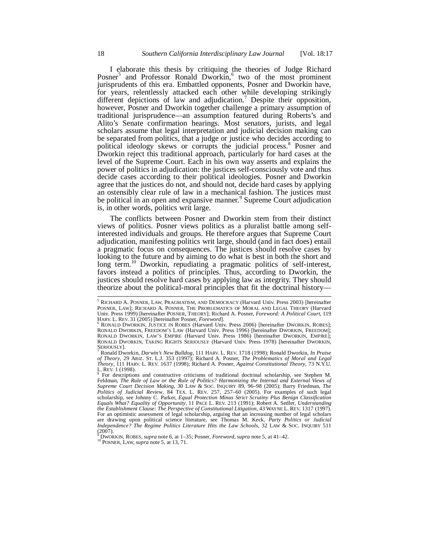I elaborate this thesis by critiquing the theories of Judge Richard Posner<sup>5</sup> and Professor Ronald Dworkin,<sup>6</sup> two of the most prominent jurisprudents of this era. Embattled opponents, Posner and Dworkin have, for years, relentlessly attacked each other while developing strikingly different depictions of law and adjudication.<sup>7</sup> Despite their opposition, however, Posner and Dworkin together challenge a primary assumption of traditional jurisprudence—an assumption featured during Roberts's and Alito's Senate confirmation hearings. Most senators, jurists, and legal scholars assume that legal interpretation and judicial decision making can be separated from politics, that a judge or justice who decides according to political ideology skews or corrupts the judicial process.<sup>8</sup> Posner and Dworkin reject this traditional approach, particularly for hard cases at the level of the Supreme Court. Each in his own way asserts and explains the power of politics in adjudication: the justices self-consciously vote and thus decide cases according to their political ideologies. Posner and Dworkin agree that the justices do not, and should not, decide hard cases by applying an ostensibly clear rule of law in a mechanical fashion. The justices must be political in an open and expansive manner.<sup>9</sup> Supreme Court adjudication is, in other words, politics writ large.

The conflicts between Posner and Dworkin stem from their distinct views of politics. Posner views politics as a pluralist battle among selfinterested individuals and groups. He therefore argues that Supreme Court adjudication, manifesting politics writ large, should (and in fact does) entail a pragmatic focus on consequences. The justices should resolve cases by looking to the future and by aiming to do what is best in both the short and long term.<sup>10</sup> Dworkin, repudiating a pragmatic politics of self-interest, favors instead a politics of principles. Thus, according to Dworkin, the justices should resolve hard cases by applying law as integrity. They should theorize about the political-moral principles that fit the doctrinal history—

<sup>5</sup> RICHARD A. POSNER, LAW, PRAGMATISM, AND DEMOCRACY (Harvard Univ. Press 2003) [hereinafter POSNER, LAW]; RICHARD A. POSNER, THE PROBLEMATICS OF MORAL AND LEGAL THEORY (Harvard Univ. Press 1999) [hereinafter POSNER, THEORY]; Richard A. Posner, *Foreword: A Political Court*, 119

HARV. L. REV. 31 (2005) [hereinafter Posner, *Foreword*]. <sup>6</sup> RONALD DWORKIN, JUSTICE IN ROBES (Harvard Univ. Press 2006) [hereinafter DWORKIN, ROBES]; RONALD DWORKIN, FREEDOM'S LAW (Harvard Univ. Press 1996) [hereinafter DWORKIN, FREEDOM]; RONALD DWORKIN, LAW'S EMPIRE (Harvard Univ. Press 1986) [hereinafter DWORKIN, EMPIRE]; RONALD DWORKIN, TAKING RIGHTS SERIOUSLY (Harvard Univ. Press 1978) [hereinafter DWORKIN, SERIOUSLY].

Ronald Dworkin, *Darwin's New Bulldog*, 111 HARV. L. REV. 1718 (1998); Ronald Dworkin, *In Praise of Theory*, 29 ARIZ. ST. L.J. 353 (1997); Richard A. Posner, *The Problematics of Moral and Legal Theory*, 111 HARV. L. REV. 1637 (1998); Richard A. Posner, *Against Constitutional Theory*, 73 N.Y.U. L. REV. 1 (1998).

<sup>&</sup>lt;sup>8</sup> For descriptions and constructive criticisms of traditional doctrinal scholarship, see Stephen M.<br>Feldman, *The Rule of Law or the Rule of Politics? Harmonizing the Internal and External Views of<br>Supreme Court Decision Politics of Judicial Review*, 84 TEX. L. REV. 257, 257–60 (2005). For examples of such legal scholarship, see Johnny C. Parker, *Equal Protection Minus Strict Scrutiny Plus Benign Classification Equals What? Equality of Opportunity*, 11 PACE L. REV. 213 (1991); Robert A. Sedler, *Understanding the Establishment Clause: The Perspective of Constitutional Litigation*, 43 WAYNE L. REV. 1317 (1997). For an optimistic assessment of legal scholarship, arguing that an increasing number of legal scholars are drawing upon political science literature, see Thomas M. Keck, *Party Politics or Judicial Independence? The Regime Politics Literature Hits the Law Schools*, 32 LAW & SOC. INQUIRY 511  $(2007)$ .

<sup>9</sup> DWORKIN, ROBES, *supra* note 6, at 1–35; Posner, *Foreword*, *supra* note 5, at 41–42. <sup>10</sup> POSNER, LAW, *supra* note 5, at 13, 71.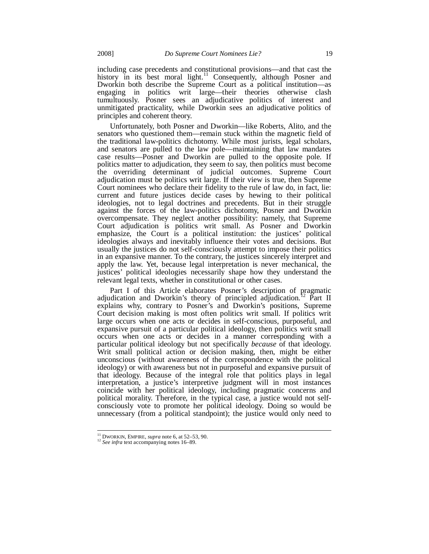including case precedents and constitutional provisions—and that cast the history in its best moral light.<sup>11</sup> Consequently, although Posner and Dworkin both describe the Supreme Court as a political institution—as engaging in politics writ large—their theories otherwise clash tumultuously. Posner sees an adjudicative politics of interest and unmitigated practicality, while Dworkin sees an adjudicative politics of principles and coherent theory.

Unfortunately, both Posner and Dworkin—like Roberts, Alito, and the senators who questioned them—remain stuck within the magnetic field of the traditional law-politics dichotomy. While most jurists, legal scholars, and senators are pulled to the law pole—maintaining that law mandates case results—Posner and Dworkin are pulled to the opposite pole. If politics matter to adjudication, they seem to say, then politics must become the overriding determinant of judicial outcomes. Supreme Court adjudication must be politics writ large. If their view is true, then Supreme Court nominees who declare their fidelity to the rule of law do, in fact, lie: current and future justices decide cases by hewing to their political ideologies, not to legal doctrines and precedents. But in their struggle against the forces of the law-politics dichotomy, Posner and Dworkin overcompensate. They neglect another possibility: namely, that Supreme Court adjudication is politics writ small. As Posner and Dworkin emphasize, the Court is a political institution: the justices' political ideologies always and inevitably influence their votes and decisions. But usually the justices do not self-consciously attempt to impose their politics in an expansive manner. To the contrary, the justices sincerely interpret and apply the law. Yet, because legal interpretation is never mechanical, the justices' political ideologies necessarily shape how they understand the relevant legal texts, whether in constitutional or other cases.

Part I of this Article elaborates Posner's description of pragmatic adjudication and Dworkin's theory of principled adjudication.<sup>12</sup> Part II explains why, contrary to Posner's and Dworkin's positions, Supreme Court decision making is most often politics writ small. If politics writ large occurs when one acts or decides in self-conscious, purposeful, and expansive pursuit of a particular political ideology, then politics writ small occurs when one acts or decides in a manner corresponding with a particular political ideology but not specifically *because* of that ideology. Writ small political action or decision making, then, might be either unconscious (without awareness of the correspondence with the political ideology) or with awareness but not in purposeful and expansive pursuit of that ideology. Because of the integral role that politics plays in legal interpretation, a justice's interpretive judgment will in most instances coincide with her political ideology, including pragmatic concerns and political morality. Therefore, in the typical case, a justice would not selfconsciously vote to promote her political ideology. Doing so would be unnecessary (from a political standpoint); the justice would only need to

<sup>&</sup>lt;sup>11</sup> DWORKIN, EMPIRE, *supra* note 6, at  $52-53$ , 90.

<sup>&</sup>lt;sup>12</sup> See infra text accompanying notes 16–89.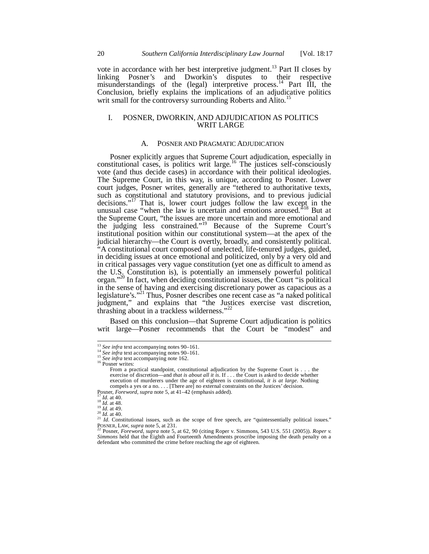vote in accordance with her best interpretive judgment.<sup>13</sup> Part II closes by linking Posner's and Dworkin's disputes to their respective misunderstandings of the (legal) interpretive process.<sup>14</sup> Part III, the Conclusion, briefly explains the implications of an adjudicative politics writ small for the controversy surrounding Roberts and Alito.<sup>1</sup>

# I. POSNER, DWORKIN, AND ADJUDICATION AS POLITICS WRIT LARGE

#### A. POSNER AND PRAGMATIC ADJUDICATION

Posner explicitly argues that Supreme Court adjudication, especially in constitutional cases, is politics writ large.<sup>16</sup> The justices self-consciously vote (and thus decide cases) in accordance with their political ideologies. The Supreme Court, in this way, is unique, according to Posner. Lower court judges, Posner writes, generally are "tethered to authoritative texts, such as constitutional and statutory provisions, and to previous judicial decisions."<sup>17</sup> That is, lower court judges follow the law except in the unusual case "when the law is uncertain and emotions aroused.<sup>518</sup> But at the Supreme Court, "the issues are more uncertain and more emotional and the judging less constrained."<sup>19</sup> Because of the Supreme Court's institutional position within our constitutional system—at the apex of the judicial hierarchy—the Court is overtly, broadly, and consistently political. "A constitutional court composed of unelected, life-tenured judges, guided, in deciding issues at once emotional and politicized, only by a very old and in critical passages very vague constitution (yet one as difficult to amend as the U.S. Constitution is), is potentially an immensely powerful political organ.<sup>"20</sup> In fact, when deciding constitutional issues, the Court "is political in the sense of having and exercising discretionary power as capacious as a legislature's."<sup>21</sup> Thus, Posner describes one recent case as "a naked political judgment," and explains that "the Justices exercise vast discretion, thrashing about in a trackless wilderness."

Based on this conclusion—that Supreme Court adjudication is politics writ large—Posner recommends that the Court be "modest" and

<sup>&</sup>lt;sup>13</sup> See infra text accompanying notes 90–161.

<sup>&</sup>lt;sup>14</sup> See *infra* text accompanying notes 90–161.

<sup>&</sup>lt;sup>15</sup> See *infra* text accompanying note 162. <sup>16</sup> Posner writes:

From a practical standpoint, constitutional adjudication by the Supreme Court is . . . the exercise of discretion—and *that is about all it is*. If . . . the Court is asked to decide whether execution of murderers under the age of eighteen is constitutional, *it is at large*. Nothing compels a yes or a no. . . . [There are] no external constraints on the Justices' decision.

Posner, *Foreword*, *supra* note 5, at 41–42 (emphasis added).

<sup>17</sup> *Id.* at 40. <sup>18</sup> *Id.* at 48.

<sup>19</sup> *Id.* at 49. <sup>20</sup> *Id.* at 40.

<sup>21</sup> *Id.* at 40.<br>Id. Constitutional issues, such as the scope of free speech, are "quintessentially political issues." POSNER, LAW, *supra* note 5, at 231.

<sup>22</sup> Posner, *Foreword*, *supra* note 5, at 62, 90 (citing Roper v. Simmons, 543 U.S. 551 (2005)). *Roper v. Simmons* held that the Eighth and Fourteenth Amendments proscribe imposing the death penalty on a defendant who committed the crime before reaching the age of eighteen.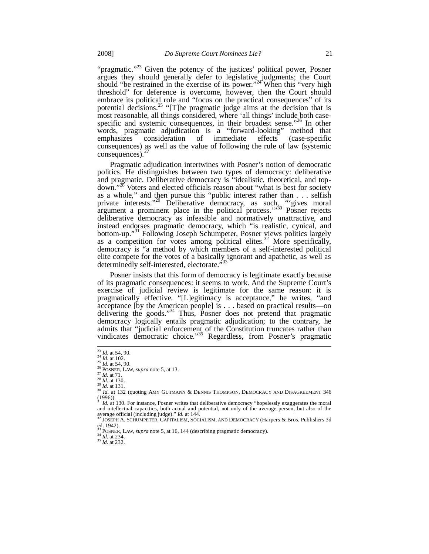"pragmatic."<sup>23</sup> Given the potency of the justices' political power, Posner argues they should generally defer to legislative judgments; the Court should "be restrained in the exercise of its power."<sup>24</sup> When this "very high threshold" for deference is overcome, however, then the Court should embrace its political role and "focus on the practical consequences" of its potential decisions.<sup>25</sup> "[T]he pragmatic judge aims at the decision that is most reasonable, all things considered, where 'all things' include both casespecific and systemic consequences, in their broadest sense."<sup>26</sup> In other words, pragmatic adjudication is a "forward-looking" method that consideration of immediate effects (case-specific consequences) as well as the value of following the rule of law (systemic consequences). $2^2$ 

Pragmatic adjudication intertwines with Posner's notion of democratic politics. He distinguishes between two types of democracy: deliberative and pragmatic. Deliberative democracy is "idealistic, theoretical, and topdown."<sup>28</sup> Voters and elected officials reason about "what is best for society as a whole," and then pursue this "public interest rather than . . . selfish private interests."<sup>29</sup> Deliberative democracy, as such, "gives moral argument a prominent place in the political process."<sup>30</sup> Posner rejects deliberative democracy as infeasible and normatively unattractive, and instead endorses pragmatic democracy, which "is realistic, cynical, and bottom-up."<sup>31</sup> Following Joseph Schumpeter, Posner views politics largely as a competition for votes among political elites.<sup>32</sup> More specifically, democracy is "a method by which members of a self-interested political elite compete for the votes of a basically ignorant and apathetic, as well as determinedly self-interested, electorate."<sup>3</sup>

Posner insists that this form of democracy is legitimate exactly because of its pragmatic consequences: it seems to work. And the Supreme Court's exercise of judicial review is legitimate for the same reason: it is pragmatically effective. "[L]egitimacy is acceptance," he writes, "and acceptance [by the American people] is . . . based on practical results—on delivering the goods."<sup>34</sup> Thus, Posner does not pretend that pragmatic democracy logically entails pragmatic adjudication; to the contrary, he admits that "judicial enforcement of the Constitution truncates rather than vindicates democratic choice."<sup>35</sup> Regardless, from Posner's pragmatic

 $\overline{a}$ 

<sup>35</sup> *Id.* at 232.

 $\frac{^{23}}{^{1}}$ *Id.* at 54, 90.

<sup>&</sup>lt;sup>24</sup> *Id.* at 102.<br><sup>25</sup> *Id.* at 54, 90.

 $^{26}$  POSNER, LAW, *supra* note 5, at 13.

<sup>27</sup> *Id.* at 71. <sup>28</sup> *Id.* at 130.

<sup>&</sup>lt;sup>29</sup> *Id.* at 131.

<sup>&</sup>lt;sup>30</sup> *Id.* at 132 (quoting AMY GUTMANN & DENNIS THOMPSON, DEMOCRACY AND DISAGREEMENT 346 (1996)). <sup>31</sup> *Id.* at 130. For instance, Posner writes that deliberative democracy "hopelessly exaggerates the moral

and intellectual capacities, both actual and potential, not only of the average person, but also of the average official (including judge)." *Id.* at 144. <sup>32</sup> JOSEPH A. SCHUMPETER, CAPITALISM, SOCIALISM, AND DEMOCRACY (Harpers & Bros. Publishers 3d

ed. 1942).<br><sup>33</sup> POSNER, LAW, *supra* note 5, at 16, 144 (describing pragmatic democracy).

 $^{34}$  *Id.* at 234.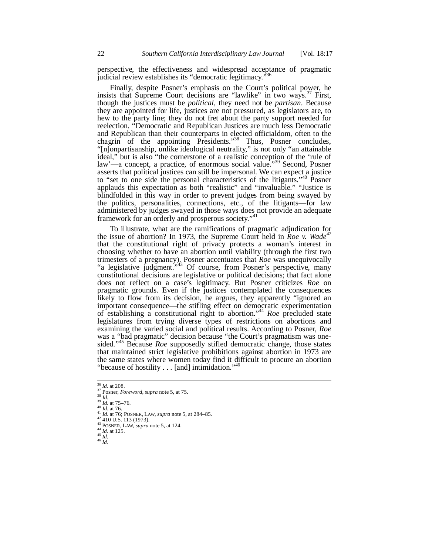perspective, the effectiveness and widespread acceptance of pragmatic judicial review establishes its "democratic legitimacy."

Finally, despite Posner's emphasis on the Court's political power, he insists that Supreme Court decisions are "lawlike" in two ways.<sup>37</sup> First, though the justices must be *political*, they need not be *partisan*. Because they are appointed for life, justices are not pressured, as legislators are, to hew to the party line; they do not fret about the party support needed for reelection. "Democratic and Republican Justices are much less Democratic and Republican than their counterparts in elected officialdom, often to the chagrin of the appointing Presidents."<sup>38</sup> Thus, Posner concludes, "[n]onpartisanship, unlike ideological neutrality," is not only "an attainable ideal," but is also "the cornerstone of a realistic conception of the 'rule of law'—a concept, a practice, of enormous social value."<sup>39</sup> Second, Posner asserts that political justices can still be impersonal. We can expect a justice to "set to one side the personal characteristics of the litigants."<sup>40</sup> Posner applauds this expectation as both "realistic" and "invaluable." "Justice is blindfolded in this way in order to prevent judges from being swayed by the politics, personalities, connections, etc., of the litigants—for law administered by judges swayed in those ways does not provide an adequate framework for an orderly and prosperous society."<sup>41</sup>

To illustrate, what are the ramifications of pragmatic adjudication for the issue of abortion? In 1973, the Supreme Court held in *Roe v. Wade*<sup>42</sup> that the constitutional right of privacy protects a woman's interest in choosing whether to have an abortion until viability (through the first two trimesters of a pregnancy). Posner accentuates that *Roe* was unequivocally "a legislative judgment."<sup>43</sup> Of course, from Posner's perspective, many constitutional decisions are legislative or political decisions; that fact alone does not reflect on a case's legitimacy. But Posner criticizes *Roe* on pragmatic grounds. Even if the justices contemplated the consequences likely to flow from its decision, he argues, they apparently "ignored an important consequence—the stifling effect on democratic experimentation of establishing a constitutional right to abortion."<sup>44</sup> *Roe* precluded state legislatures from trying diverse types of restrictions on abortions and examining the varied social and political results. According to Posner, *Roe* was a "bad pragmatic" decision because "the Court's pragmatism was onesided."<sup>45</sup> Because *Roe* supposedly stifled democratic change, those states that maintained strict legislative prohibitions against abortion in 1973 are the same states where women today find it difficult to procure an abortion "because of hostility  $\ldots$  [and] intimidation."<sup>46</sup>

<sup>36</sup> *Id.* at 208.

<sup>37</sup> Posner, *Foreword*, *supra* note 5, at 75. <sup>38</sup> *Id.*

<sup>39</sup> *Id.* at 75–76. <sup>40</sup> *Id.* at 76.

<sup>41</sup> *Id.* at 76; POSNER, LAW, *supra* note 5, at 284–85.

 $42\frac{\mu}{410}$  U.S. 113 (1973).

<sup>43</sup> POSNER, LAW, *supra* note 5, at 124.

<sup>44</sup> *Id.* at 125.

<sup>45</sup> *Id.*

<sup>46</sup> *Id.*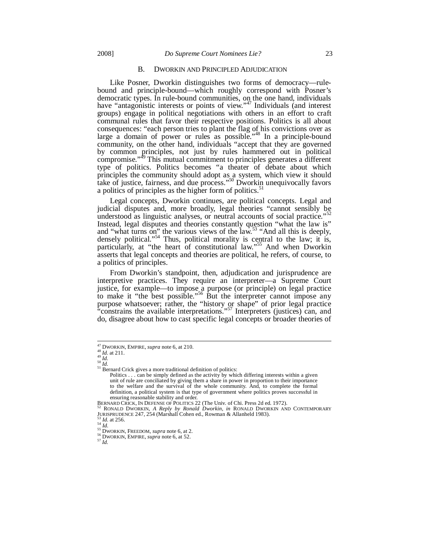## B. DWORKIN AND PRINCIPLED ADJUDICATION

Like Posner, Dworkin distinguishes two forms of democracy—rulebound and principle-bound—which roughly correspond with Posner's democratic types. In rule-bound communities, on the one hand, individuals have "antagonistic interests or points of view."<sup>47</sup> Individuals (and interest groups) engage in political negotiations with others in an effort to craft communal rules that favor their respective positions. Politics is all about consequences: "each person tries to plant the flag of his convictions over as large a domain of power or rules as possible."<sup>48</sup> In a principle-bound community, on the other hand, individuals "accept that they are governed by common principles, not just by rules hammered out in political compromise."<sup>49</sup> This mutual commitment to principles generates a different type of politics. Politics becomes "a theater of debate about which principles the community should adopt as a system, which view it should take of justice, fairness, and due process."<sup>50</sup> Dworkin unequivocally favors a politics of principles as the higher form of politics.<sup>5</sup>

Legal concepts, Dworkin continues, are political concepts. Legal and judicial disputes and, more broadly, legal theories "cannot sensibly be understood as linguistic analyses, or neutral accounts of social practice."<sup>52</sup> Instead, legal disputes and theories constantly question "what the law is" and "what turns on" the various views of the law.<sup>53</sup> "And all this is deeply, densely political."<sup>54</sup> Thus, political morality is central to the law; it is, particularly, at "the heart of constitutional law."<sup>55</sup> And when Dworkin asserts that legal concepts and theories are political, he refers, of course, to a politics of principles.

From Dworkin's standpoint, then, adjudication and jurisprudence are interpretive practices. They require an interpreter—a Supreme Court justice, for example—to impose a purpose (or principle) on legal practice to make it "the best possible."<sup>56</sup> But the interpreter cannot impose any purpose whatsoever; rather, the "history or shape" of prior legal practice "constrains the available interpretations."<sup>57</sup> Interpreters (justices) can, and do, disagree about how to cast specific legal concepts or broader theories of

j

Politics . . . can be simply defined as the activity by which differing interests within a given<br>unit of rule are conciliated by giving them a share in power in proportion to their importance<br>to the welfare and the surviva definition, a political system is that type of government where politics proves successful in ensuring reasonable stability and order.

<sup>47</sup> DWORKIN, EMPIRE, *supra* note 6, at 210.

 $^{48}$  *Id.* at 211.

<sup>49</sup> *Id.* <sup>50</sup> *Id.*

 $51$  Bernard Crick gives a more traditional definition of politics:

BERNARD CRICK, IN DEFENSE OF POLITICS 22 (The Univ. of Chi. Press 2d ed. 1972).

<sup>&</sup>lt;sup>52</sup> RONALD DWORKIN, *A Reply by Ronald Dworkin*, *in* RONALD DWORKIN AND CONTEMPORARY JURISPRUDENCE 247, 254 (Marshall Cohen ed., Rowman & Allanheld 1983).

*Id.* at 256.

 $^{54}$   $\overline{1d}$ .

<sup>&</sup>lt;sup>55</sup> DWORKIN, FREEDOM, *supra* note 6, at 2.

<sup>56</sup> DWORKIN, EMPIRE, *supra* note 6, at 52. <sup>57</sup> *Id.*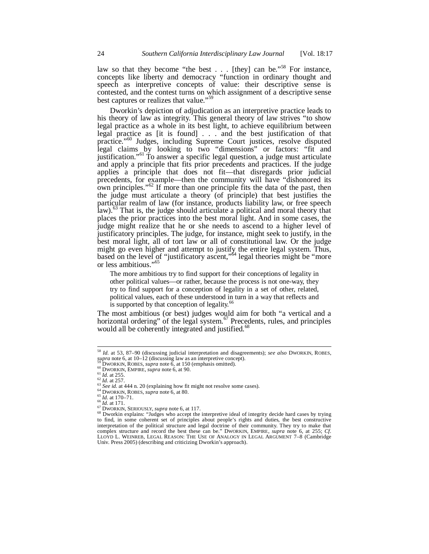law so that they become "the best . . . [they] can be."<sup>58</sup> For instance, concepts like liberty and democracy "function in ordinary thought and speech as interpretive concepts of value: their descriptive sense is contested, and the contest turns on which assignment of a descriptive sense best captures or realizes that value."

Dworkin's depiction of adjudication as an interpretive practice leads to his theory of law as integrity. This general theory of law strives "to show legal practice as a whole in its best light, to achieve equilibrium between legal practice as [it is found] . . . and the best justification of that practice."<sup>60</sup> Judges, including Supreme Court justices, resolve disputed legal claims by looking to two "dimensions" or factors: "fit and justification."<sup>61</sup> To answer a specific legal question, a judge must articulate and apply a principle that fits prior precedents and practices. If the judge applies a principle that does not fit—that disregards prior judicial precedents, for example—then the community will have "dishonored its own principles."<sup>62</sup> If more than one principle fits the data of the past, then the judge must articulate a theory (of principle) that best justifies the particular realm of law (for instance, products liability law, or free speech law).<sup>63</sup> That is, the judge should articulate a political and moral theory that places the prior practices into the best moral light. And in some cases, the judge might realize that he or she needs to ascend to a higher level of justificatory principles. The judge, for instance, might seek to justify, in the best moral light, all of tort law or all of constitutional law. Or the judge might go even higher and attempt to justify the entire legal system. Thus, based on the level of "justificatory ascent,"<sup>64</sup> legal theories might be "more or less ambitious."<sup>65</sup>

The more ambitious try to find support for their conceptions of legality in other political values—or rather, because the process is not one-way, they try to find support for a conception of legality in a set of other, related, political values, each of these understood in turn in a way that reflects and is supported by that conception of legality.<sup>66</sup>

The most ambitious (or best) judges would aim for both "a vertical and a horizontal ordering" of the legal system.<sup>67</sup> Precedents, rules, and principles would all be coherently integrated and justified.<sup>4</sup>

<sup>58</sup> *Id.* at 53, 87–90 (discussing judicial interpretation and disagreements); *see also* DWORKIN, ROBES, *supra* note 6, at 10–12 (discussing law as an interpretive concept).

DWORKIN, ROBES, *supra* note  $\vec{6}$ , at 150 (emphasis omitted). <sup>60</sup> DWORKIN, EMPIRE, *supra* note 6, at 90.

<sup>&</sup>lt;sup>61</sup> *Id.* at 255.<br><sup>62</sup> *Id.* at 257.<br><sup>63</sup> *See id.* at 444 n. 20 (explaining how fit might not resolve some cases).

<sup>64</sup> DWORKIN, ROBES, *supra* note 6, at 80. <sup>65</sup> *Id.* at 170–71.

<sup>66</sup> *Id.* at 171.

<sup>67</sup> DWORKIN, SERIOUSLY, *supra* note 6, at 117.

<sup>&</sup>lt;sup>68</sup> Dworkin explains: "Judges who accept the interpretive ideal of integrity decide hard cases by trying to find, in some coherent set of principles about people's rights and duties, the best constructive interpretation of the political structure and legal doctrine of their community. They try to make that complex structure and record the best these can be." DWORKIN, EMPIRE, *supra* note 6, at 255; *Cf*. LLOYD L. WEINREB, LEGAL REASON: THE USE OF ANALOGY IN LEGAL ARGUMENT 7–8 (Cambridge Univ. Press 2005) (describing and criticizing Dworkin's approach).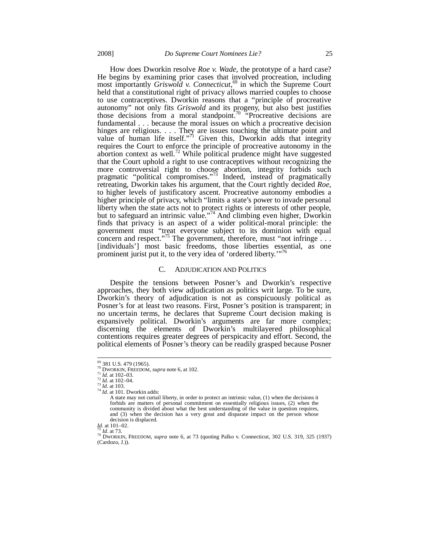How does Dworkin resolve *Roe v. Wade*, the prototype of a hard case? He begins by examining prior cases that involved procreation, including most importantly *Griswold v. Connecticut*, <sup>69</sup> in which the Supreme Court held that a constitutional right of privacy allows married couples to choose to use contraceptives. Dworkin reasons that a "principle of procreative autonomy" not only fits *Griswold* and its progeny, but also best justifies those decisions from a moral standpoint.<sup>70</sup> "Procreative decisions are fundamental . . . because the moral issues on which a procreative decision hinges are religious. . . . They are issues touching the ultimate point and value of human life itself."<sup>71</sup> Given this, Dworkin adds that integrity requires the Court to enforce the principle of procreative autonomy in the abortion context as well.<sup>72</sup> While political prudence might have suggested that the Court uphold a right to use contraceptives without recognizing the more controversial right to choose abortion, integrity forbids such pragmatic "political compromises."<sup>73</sup> Indeed, instead of pragmatically retreating, Dworkin takes his argument, that the Court rightly decided *Roe*, to higher levels of justificatory ascent. Procreative autonomy embodies a higher principle of privacy, which "limits a state's power to invade personal liberty when the state acts not to protect rights or interests of other people, but to safeguard an intrinsic value."<sup>74</sup> And climbing even higher, Dworkin finds that privacy is an aspect of a wider political-moral principle: the government must "treat everyone subject to its dominion with equal concern and respect."<sup>75</sup> The government, therefore, must "not infringe... [individuals'] most basic freedoms, those liberties essential, as one prominent jurist put it, to the very idea of 'ordered liberty."<sup>76</sup>

#### C. ADJUDICATION AND POLITICS

Despite the tensions between Posner's and Dworkin's respective approaches, they both view adjudication as politics writ large. To be sure, Dworkin's theory of adjudication is not as conspicuously political as Posner's for at least two reasons. First, Posner's position is transparent; in no uncertain terms, he declares that Supreme Court decision making is expansively political. Dworkin's arguments are far more complex; discerning the elements of Dworkin's multilayered philosophical contentions requires greater degrees of perspicacity and effort. Second, the political elements of Posner's theory can be readily grasped because Posner

<sup>69</sup> 381 U.S. 479 (1965). <sup>70</sup> DWORKIN, FREEDOM, *supra* note 6, at 102.

 $^{71}$ *Id.* at 102–03.

 $72 \frac{\mu}{1d}$ . at 102–04.

 $^{73}$  *Id.* at 103.

 $74$  *Id.* at 101. Dworkin adds:

A state may not curtail liberty, in order to protect an intrinsic value, (1) when the decisions it forbids are matters of personal commitment on essentially religious issues, (2) when the community is divided about what the best understanding of the value in question requires, and (3) when the decision has a very great and disparate impact on the person whose decision is displaced.

*<sup>&</sup>lt;i>Id.* at 101–02.

*Id.* at 73.

<sup>76</sup> DWORKIN, FREEDOM, *supra* note 6, at 73 (quoting Palko v. Connecticut, 302 U.S. 319, 325 (1937) (Cardozo, J.)).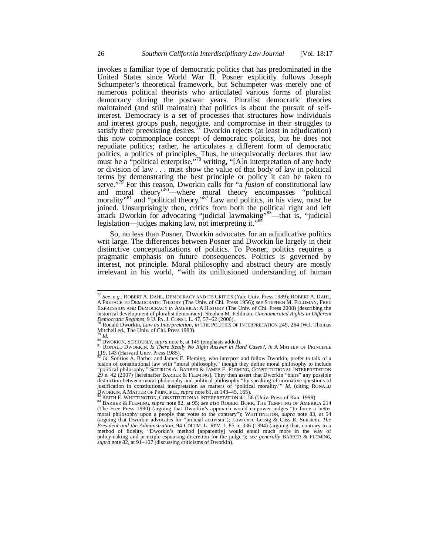invokes a familiar type of democratic politics that has predominated in the United States since World War II. Posner explicitly follows Joseph Schumpeter's theoretical framework, but Schumpeter was merely one of numerous political theorists who articulated various forms of pluralist democracy during the postwar years. Pluralist democratic theories maintained (and still maintain) that politics is about the pursuit of selfinterest. Democracy is a set of processes that structures how individuals and interest groups push, negotiate, and compromise in their struggles to satisfy their preexisting desires.<sup>77</sup> Dworkin rejects (at least in adjudication) this now commonplace concept of democratic politics, but he does not repudiate politics; rather, he articulates a different form of democratic politics, a politics of principles. Thus, he unequivocally declares that law must be a "political enterprise,"<sup>78</sup> writing, "[A]n interpretation of any body or division of law . . . must show the value of that body of law in political terms by demonstrating the best principle or policy it can be taken to serve."<sup>79</sup> For this reason, Dworkin calls for "a *fusion* of constitutional law and moral theory"<sup>80</sup>—where moral theory encompasses "political morality"<sup>81</sup> and "political theory."<sup>82</sup> Law and politics, in his view, must be joined. Unsurprisingly then, critics from both the political right and left attack Dworkin for advocating "judicial lawmaking" $\frac{1}{184}$ —that is, "judicial legislation—judges making law, not interpreting it."<sup>8</sup>

So, no less than Posner, Dworkin advocates for an adjudicative politics writ large. The differences between Posner and Dworkin lie largely in their distinctive conceptualizations of politics. To Posner, politics requires a pragmatic emphasis on future consequences. Politics is governed by interest, not principle. Moral philosophy and abstract theory are mostly irrelevant in his world, "with its unillusioned understanding of human

<sup>77</sup> *See, e.g.,* ROBERT A. DAHL, DEMOCRACY AND ITS CRITICS (Yale Univ. Press 1989); ROBERT A. DAHL, A PREFACE TO DEMOCRATIC THEORY (The Univ. of Chi. Press 1956); *see* STEPHEN M. FELDMAN, FREE EXPRESSION AND DEMOCRACY IN AMERICA: A HISTORY (The Univ. of Chi. Press 2008) (describing the historical development of pluralist democracy); Stephen M. Feldman, *Unenumerated Rights in Different Democratic Regimes,* 9 U. PA. J. CONST. L. 47, 57–62 (2006).

<sup>78</sup> Ronald Dworkin, *Law as Interpretation*, *in* THE POLITICS OF INTERPRETATION 249, 264 (W.J. Thomas Mitchell ed., The Univ. of Chi. Press 1983).

<sup>79</sup> *Id.*

<sup>&</sup>lt;sup>80</sup> DWORKIN, SERIOUSLY, *supra* note 6, at 149 (emphasis added).<br><sup>81</sup> RONALD DWORKIN, *Is There Really No Right Answer in Hard Cases?*, *in* A MATTER OF PRINCIPLE  $119, 143$  (Harvard Univ. Press 1985).

<sup>&</sup>lt;sup>82</sup> Id. Sotirios A. Barber and James E. Fleming, who interpret and follow Dworkin, prefer to talk of a fusion of constitutional law with "moral philosophy," though they define moral philosophy to include "political philosophy." SOTIRIOS A. BARBER & JAMES E. FLEMING, CONSTITUTIONAL INTERPRETATION 29 n. 42 (2007) [hereinafter BARBER & FLEMING]. They then assert that Dworkin "blurs" any possible distinction between moral philosophy and political philosophy "by speaking of normative questions of justification in constitutional interpretation as matters of 'political morality.'" *Id.* (citing RONALD DWORKIN, A MATTER OF PRINCIPLE, *supra* note 81, at 143–45, 165).<br><sup>83</sup> Keith E. Whittington, Constitutional Interpretation 41, 58 (Univ. Press of Kan. 1999).

<sup>84</sup> BARBER & FLEMING, *supra* note 82, at 95; *see also* ROBERT BORK, THE TEMPTING OF AMERICA 214 (The Free Press 1990) (arguing that Dworkin's approach would empower judges "to force a better moral philosophy upon a people that votes to the contrary"); WHITTINGTON, *supra* note 83, at 54 (arguing that Dworkin advocates for "judicial activism"); Lawrence Lessig & Cass R. Sunstein, *The President and the Administration*, 94 COLUM. L. REV. 1, 85 n. 336 (1994) (arguing that, contrary to a method of fidelity, "Dworkin's method [apparently] would entail much more in the way of policymaking and principle-espousing discretion for the judge"); *see generally* BARBER & FLEMING, *supra* note 82, at 91–107 (discussing criticisms of Dworkin).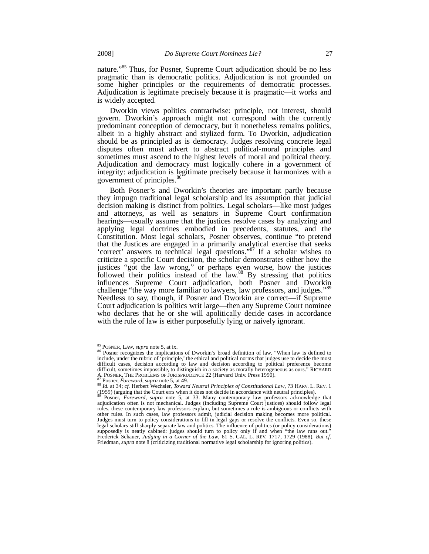nature."<sup>85</sup> Thus, for Posner, Supreme Court adjudication should be no less pragmatic than is democratic politics. Adjudication is not grounded on some higher principles or the requirements of democratic processes. Adjudication is legitimate precisely because it is pragmatic—it works and

Dworkin views politics contrariwise: principle, not interest, should govern. Dworkin's approach might not correspond with the currently predominant conception of democracy, but it nonetheless remains politics, albeit in a highly abstract and stylized form. To Dworkin, adjudication should be as principled as is democracy. Judges resolving concrete legal disputes often must advert to abstract political-moral principles and sometimes must ascend to the highest levels of moral and political theory. Adjudication and democracy must logically cohere in a government of integrity: adjudication is legitimate precisely because it harmonizes with a government of principles.<sup>86</sup>

Both Posner's and Dworkin's theories are important partly because they impugn traditional legal scholarship and its assumption that judicial decision making is distinct from politics. Legal scholars—like most judges and attorneys, as well as senators in Supreme Court confirmation hearings—usually assume that the justices resolve cases by analyzing and applying legal doctrines embodied in precedents, statutes, and the Constitution. Most legal scholars, Posner observes, continue "to pretend that the Justices are engaged in a primarily analytical exercise that seeks 'correct' answers to technical legal questions."<sup>87</sup> If a scholar wishes to criticize a specific Court decision, the scholar demonstrates either how the justices "got the law wrong," or perhaps even worse, how the justices followed their politics instead of the law.<sup>88</sup> By stressing that politics influences Supreme Court adjudication, both Posner and Dworkin challenge "the way more familiar to lawyers, law professors, and judges."<sup>8</sup> Needless to say, though, if Posner and Dworkin are correct—if Supreme Court adjudication is politics writ large—then any Supreme Court nominee who declares that he or she will apolitically decide cases in accordance with the rule of law is either purposefully lying or naively ignorant.

 $\overline{a}$ 

is widely accepted.

<sup>85</sup> POSNER, LAW, *supra* note 5, at ix.

 $86$  Posner recognizes the implications of Dworkin's broad definition of law. "When law is defined to include, under the rubric of 'principle,' the ethical and political norms that judges use to decide the most difficult cases, decision according to law and decision according to political preference become difficult, sometimes impossible, to distinguish in a society as morally heterogeneous as ours." RICHARD A. POSNER, THE PROBLEMS OF JURISPRUDENCE 22 (Harvard Univ. Press 1990). <sup>87</sup> Posner, *Foreword*, *supra* note 5, at 49.

<sup>88</sup> *Id. at 34; cf. Herbert Wechsler, <i>Toward Neutral Principles of Constitutional Law*, 73 HARV. L. REV. 1

<sup>(1959) (</sup>arguing that the Court errs when it does not decide in accordance with neutral principles). <sup>89</sup> Posner, *Foreword*, *supra* note 5, at 33. Many contemporary law professors acknowledge that adjudication often is not mechanical. Judges (including Supreme Court justices) should follow legal rules, these contemporary law professors explain, but sometimes a rule is ambiguous or conflicts with other rules. In such cases, law professors admit, judicial decision making becomes more political. Judges must turn to policy considerations to fill in legal gaps or resolve the conflicts. Even so, these legal scholars still sharply separate law and politics. The influence of politics (or policy considerations) supposedly is neatly cabined: judges should turn to policy only if and when "the law runs out." Frederick Schauer, *Judging in a Corner of the Law*, 61 S. CAL. L. REV. 1717, 1729 (1988). *But cf*. Friedman, *supra* note 8 (criticizing traditional normative legal scholarship for ignoring politics).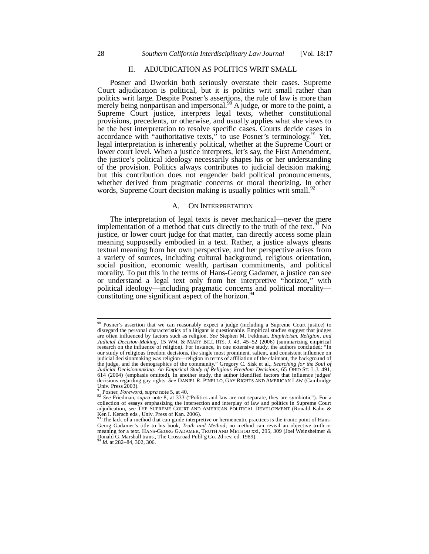# II. ADJUDICATION AS POLITICS WRIT SMALL

Posner and Dworkin both seriously overstate their cases. Supreme Court adjudication is political, but it is politics writ small rather than politics writ large. Despite Posner's assertions, the rule of law is more than merely being nonpartisan and impersonal.<sup>90</sup> A judge, or more to the point, a Supreme Court justice, interprets legal texts, whether constitutional provisions, precedents, or otherwise, and usually applies what she views to be the best interpretation to resolve specific cases. Courts decide cases in accordance with "authoritative texts," to use Posner's terminology.<sup>91</sup> Yet, legal interpretation is inherently political, whether at the Supreme Court or lower court level. When a justice interprets, let's say, the First Amendment, the justice's political ideology necessarily shapes his or her understanding of the provision. Politics always contributes to judicial decision making, but this contribution does not engender bald political pronouncements, whether derived from pragmatic concerns or moral theorizing. In other words, Supreme Court decision making is usually politics writ small.<sup>9</sup>

## A. ON INTERPRETATION

The interpretation of legal texts is never mechanical—never the mere implementation of a method that cuts directly to the truth of the text.<sup>93</sup> No justice, or lower court judge for that matter, can directly access some plain meaning supposedly embodied in a text. Rather, a justice always gleans textual meaning from her own perspective, and her perspective arises from a variety of sources, including cultural background, religious orientation, social position, economic wealth, partisan commitments, and political morality. To put this in the terms of Hans-Georg Gadamer, a justice can see or understand a legal text only from her interpretive "horizon," with political ideology—including pragmatic concerns and political morality constituting one significant aspect of the horizon. $94$ 

<sup>&</sup>lt;sup>90</sup> Posner's assertion that we can reasonably expect a judge (including a Supreme Court justice) to disregard the personal characteristics of a litigant is questionable. Empirical studies suggest that judges are often influenced by factors such as religion. *See* Stephen M. Feldman, *Empiricism, Religion, and Judicial Decision-Making*, 15 WM. & MARY BILL RTS. J. 43, 45–52 (2006) (summarizing empirical research on the influence of religion). For instance, in one extensive study, the authors concluded: "In our study of religious freedom decisions, the single most prominent, salient, and consistent influence on judicial decisionmaking was religion—religion in terms of affiliation of the claimant, the background of the judge, and the demographics of the community." Gregory C. Sisk et al., *Searching for the Soul of Judicial Decisionmaking: An Empirical Study of Religious Freedom Decisions*, 65 OHIO ST. L.J. 491, 614 (2004) (emphasis omitted). In another study, the author identified factors that influence judges' decisions regarding gay rights. *See* DANIEL R. PINELLO, GAY RIGHTS AND AMERICAN LAW (Cambridge Univ. Press  $2003$ ).

<sup>91</sup> Posner, *Foreword*, *supra* note 5, at 40. <sup>92</sup> *See* Friedman, *supra* note 8, at 333 ("Politics and law are not separate, they are symbiotic"). For a collection of essays emphasizing the intersection and interplay of law and politics in Supreme Court adjudication, see THE SUPREME COURT AND AMERICAN POLITICAL DEVELOPMENT (Ronald Kahn & Ken I. Kersch eds., Univ. Press of Kan. 2006).<br><sup>93</sup> The lack of a method that can guide interpretive or hermeneutic practices is the ironic point of Hans-

Georg Gadamer's title to his book, *Truth and Method*; no method can reveal an objective truth or meaning for a text. HANS-GEORG GADAMER, TRUTH AND METHOD xxi, 295, 309 (Joel Weinsheimer & Donald G. Marshall trans., The Crossroad Publ'g Co. 2d rev. ed. 1989).

*Id.* at 282-84, 302, 306.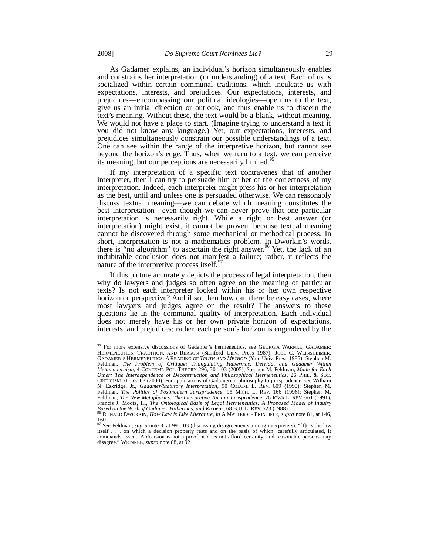As Gadamer explains, an individual's horizon simultaneously enables and constrains her interpretation (or understanding) of a text. Each of us is socialized within certain communal traditions, which inculcate us with expectations, interests, and prejudices. Our expectations, interests, and prejudices—encompassing our political ideologies—open us to the text, give us an initial direction or outlook, and thus enable us to discern the text's meaning. Without these, the text would be a blank, without meaning. We would not have a place to start. (Imagine trying to understand a text if you did not know any language.) Yet, our expectations, interests, and prejudices simultaneously constrain our possible understandings of a text. One can see within the range of the interpretive horizon, but cannot see beyond the horizon's edge. Thus, when we turn to a text, we can perceive its meaning, but our perceptions are necessarily limited.<sup>95</sup>

If my interpretation of a specific text contravenes that of another interpreter, then I can try to persuade him or her of the correctness of my interpretation. Indeed, each interpreter might press his or her interpretation as the best, until and unless one is persuaded otherwise. We can reasonably discuss textual meaning—we can debate which meaning constitutes the best interpretation—even though we can never prove that one particular interpretation is necessarily right. While a right or best answer (or interpretation) might exist, it cannot be proven, because textual meaning cannot be discovered through some mechanical or methodical process. In short, interpretation is not a mathematics problem. In Dworkin's words, there is "no algorithm" to ascertain the right answer.<sup>96</sup> Yet, the lack of an indubitable conclusion does not manifest a failure; rather, it reflects the nature of the interpretive process itself. $97$ 

If this picture accurately depicts the process of legal interpretation, then why do lawyers and judges so often agree on the meaning of particular texts? Is not each interpreter locked within his or her own respective horizon or perspective? And if so, then how can there be easy cases, where most lawyers and judges agree on the result? The answers to these questions lie in the communal quality of interpretation. Each individual does not merely have his or her own private horizon of expectations, interests, and prejudices; rather, each person's horizon is engendered by the

<sup>&</sup>lt;sup>95</sup> For more extensive discussions of Gadamer's hermeneutics, see GEORGIA WARNKE, GADAMER: HERMENEUTICS, TRADITION, AND REASON (Stanford Univ. Press 1987); JOEL C. WEINSHEIMER, GADAMER'S HERMENEUTICS: A READING OF *TRUTH AND METHOD* (Yale Univ. Press 1985); Stephen M. Feldman, *The Problem of Critique: Triangulating Habermas, Derrida, and Gadamer Within Metamodernism*, 4 CONTEMP. POL. THEORY 296, 301–03 (2005); Stephen M. Feldman, *Made for Each Other: The Interdependence of Deconstruction and Philosophical Hermeneutics*, 26 PHIL. & SOC. CRITICISM 51, 53–63 (2000). For applications of Gadamerian philosophy to jurisprudence, see William N. Eskridge, Jr., *Gadamer/Statutory Interpretation*, 90 COLUM. L. REV. 609 (1990); Stephen M. Feldman, *The Politics of Postmodern Jurisprudence*, 95 MICH. L. REV. 166 (1996); Stephen M. Feldman, *The New Metaphysics: The Interpretive Turn in Jurisprudence*, 76 IOWA L. REV. 661 (1991); Francis J. Mootz, III, *The Ontological Basis of Legal Hermeneutics: A Proposed Model of Inquiry Based on the Work of Gadamer, Habermas, and Ricoeur*, 68 B.U. L. REV. 523 (1988). <sup>96</sup> RONALD DWORKIN, *How Law is Like Literature*, *in* A MATTER OF PRINCIPLE, *supra* note 81, at 146,

 $\frac{160}{97}$ .

<sup>97</sup> *See* Feldman, *supra* note 8, at 99–103 (discussing disagreements among interpreters). "[I]t is the law itself . . . on which a decision properly rests and on the basis of which, carefully articulated, it commands assent. A decision is not a proof; it does not afford certainty, and reasonable persons may disagree." WEINREB, *supra* note 68, at 92.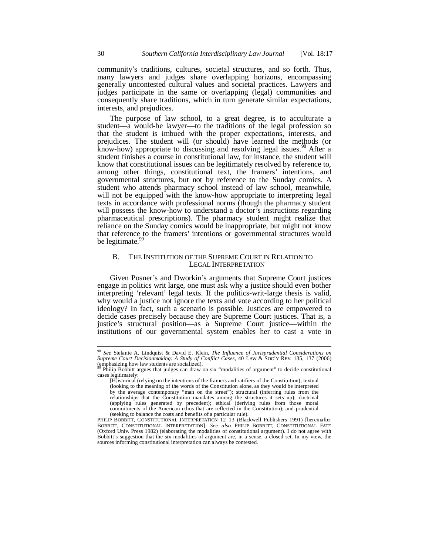community's traditions, cultures, societal structures, and so forth. Thus, many lawyers and judges share overlapping horizons, encompassing generally uncontested cultural values and societal practices. Lawyers and judges participate in the same or overlapping (legal) communities and consequently share traditions, which in turn generate similar expectations, interests, and prejudices.

The purpose of law school, to a great degree, is to acculturate a student—a would-be lawyer—to the traditions of the legal profession so that the student is imbued with the proper expectations, interests, and prejudices. The student will (or should) have learned the methods (or know-how) appropriate to discussing and resolving legal issues.<sup>98</sup> After a student finishes a course in constitutional law, for instance, the student will know that constitutional issues can be legitimately resolved by reference to, among other things, constitutional text, the framers' intentions, and governmental structures, but not by reference to the Sunday comics. A student who attends pharmacy school instead of law school, meanwhile, will not be equipped with the know-how appropriate to interpreting legal texts in accordance with professional norms (though the pharmacy student will possess the know-how to understand a doctor's instructions regarding pharmaceutical prescriptions). The pharmacy student might realize that reliance on the Sunday comics would be inappropriate, but might not know that reference to the framers' intentions or governmental structures would be legitimate.<sup>99</sup>

# B. THE INSTITUTION OF THE SUPREME COURT IN RELATION TO LEGAL INTERPRETATION

Given Posner's and Dworkin's arguments that Supreme Court justices engage in politics writ large, one must ask why a justice should even bother interpreting 'relevant' legal texts. If the politics-writ-large thesis is valid, why would a justice not ignore the texts and vote according to her political ideology? In fact, such a scenario is possible. Justices are empowered to decide cases precisely because they are Supreme Court justices. That is, a justice's structural position—as a Supreme Court justice—within the institutions of our governmental system enables her to cast a vote in

<sup>98</sup> *See* Stefanie A. Lindquist & David E. Klein, *The Influence of Jurisprudential Considerations on Supreme Court Decisionmaking: A Study of Conflict Cases*, 40 LAW & SOC'Y REV. 135, 137 (2006) (emphasizing how law students are socialized).

Philip Bobbitt argues that judges can draw on six "modalities of argument" to decide constitutional cases legitimately:

<sup>[</sup>H]istorical (relying on the intentions of the framers and ratifiers of the Constitution); textual (looking to the meaning of the words of the Constitution alone, as they would be interpreted by the average contemporary "man on the street"); structural (inferring rules from the relationships that the Constitution mandates among the structures it sets up); doctrinal (applying rules generated by precedent); ethical (deriving rules from those moral commitments of the American ethos that are reflected in the Constitution); and prudential (seeking to balance the costs and benefits of a particular rule).

PHILIP BOBBITT, CONSTITUTIONAL INTERPRETATION 12–13 (Blackwell Publishers 1991) [hereinafter BOBBITT, CONSTITUTIONAL INTERPRETATION]. *See also* PHILIP BOBBITT, CONSTITUTIONAL FATE (Oxford Univ. Press 1982) (elaborating the modalities of constitutional argument). I do not agree with Bobbitt's suggestion that the six modalities of argument are, in a sense, a closed set. In my view, the sources informing constitutional interpretation can always be contested.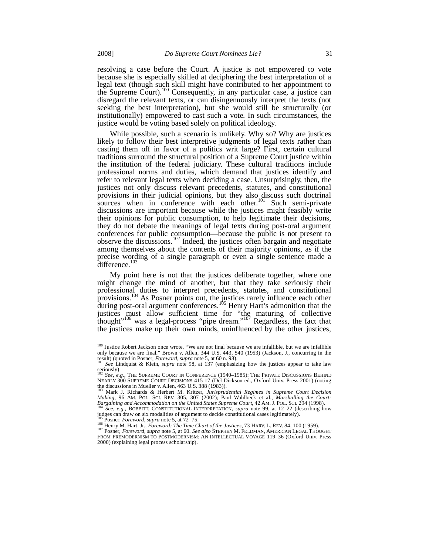resolving a case before the Court. A justice is not empowered to vote because she is especially skilled at deciphering the best interpretation of a legal text (though such skill might have contributed to her appointment to the Supreme Court).<sup>100</sup> Consequently, in any particular case, a justice can disregard the relevant texts, or can disingenuously interpret the texts (not seeking the best interpretation), but she would still be structurally (or institutionally) empowered to cast such a vote. In such circumstances, the justice would be voting based solely on political ideology.

While possible, such a scenario is unlikely. Why so? Why are justices likely to follow their best interpretive judgments of legal texts rather than casting them off in favor of a politics writ large? First, certain cultural traditions surround the structural position of a Supreme Court justice within the institution of the federal judiciary. These cultural traditions include professional norms and duties, which demand that justices identify and refer to relevant legal texts when deciding a case. Unsurprisingly, then, the justices not only discuss relevant precedents, statutes, and constitutional provisions in their judicial opinions, but they also discuss such doctrinal sources when in conference with each other.<sup>101</sup> Such semi-private discussions are important because while the justices might feasibly write their opinions for public consumption, to help legitimate their decisions, they do not debate the meanings of legal texts during post-oral argument conferences for public consumption—because the public is not present to observe the discussions.<sup>102</sup> Indeed, the justices often bargain and negotiate among themselves about the contents of their majority opinions, as if the precise wording of a single paragraph or even a single sentence made a difference. $103$ 

My point here is not that the justices deliberate together, where one might change the mind of another, but that they take seriously their professional duties to interpret precedents, statutes, and constitutional provisions.<sup>104</sup> As Posner points out, the justices rarely influence each other during post-oral argument conferences.<sup>105</sup> Henry Hart's admonition that the justices must allow sufficient time for "the maturing of collective thought<sup>"106</sup> was a legal-process "pipe dream."<sup>107</sup> Regardless, the fact that the justices make up their own minds, uninfluenced by the other justices,

<sup>&</sup>lt;sup>100</sup> Justice Robert Jackson once wrote, "We are not final because we are infallible, but we are infallible only because we are final." Brown v. Allen, 344 U.S. 443, 540 (1953) (Jackson, J., concurring in the result) (quoted in Posner, *Foreword*, *supra* note 5, at 60 n. 98).

<sup>101</sup> *See* Lindquist & Klein, *supra* note 98, at 137 (emphasizing how the justices appear to take law seriously).

<sup>&</sup>lt;sup>102</sup> See, e.g., THE SUPREME COURT IN CONFERENCE (1940–1985): THE PRIVATE DISCUSSIONS BEHIND NEARLY 300 SUPREME COURT DECISIONS 415-17 (Del Dickson ed., Oxford Univ. Press 2001) (noting the discussions in Mueller v. Allen, 463 U.S. 388 (1983)).

<sup>103</sup> Mark J. Richards & Herbert M. Kritzer, *Jurisprudential Regimes in Supreme Court Decision Making*, 96 AM. POL. SCI. REV. 305, 307 (2002); Paul Wahlbeck et al., *Marshalling the Court:*  **Bargaining and Accommodation on the United States Supreme Court, 42 AM. J. POL. SCI. 294 (1998).**<br>Bargaining and Accommodation on the United States Supreme Court, 42 AM. J. POL. SCI. 294 (1998).

<sup>104</sup> *See, e.g.,* BOBBITT, CONSTITUTIONAL INTERPRETATION, *supra* note 99, at 12–22 (describing how judges can draw on six modalities of argument to decide constitutional cases legitimately).

Posner, *Foreword*, *supra* note 5, at  $72-75$ .

<sup>106</sup> Henry M. Hart, Jr., *Foreword: The Time Chart of the Justices*, 73 HARV. L. REV. 84, 100 (1959). <sup>107</sup> Posner, *Foreword*, *supra* note 5, at 60. *See also* STEPHEN M. FELDMAN, AMERICAN LEGAL THOUGHT

FROM PREMODERNISM TO POSTMODERNISM: AN INTELLECTUAL VOYAGE 119–36 (Oxford Univ. Press 2000) (explaining legal process scholarship).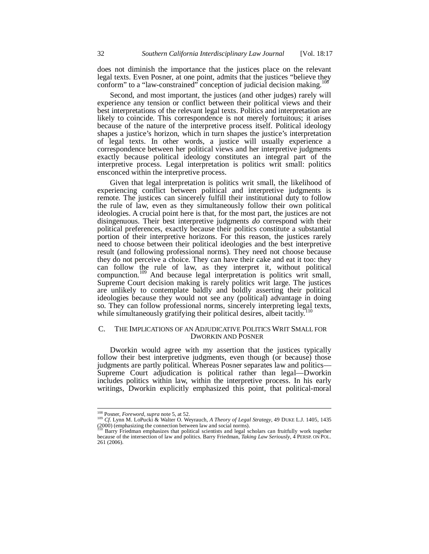does not diminish the importance that the justices place on the relevant legal texts. Even Posner, at one point, admits that the justices "believe they conform" to a "law-constrained" conception of judicial decision making.<sup>108</sup>

Second, and most important, the justices (and other judges) rarely will experience any tension or conflict between their political views and their best interpretations of the relevant legal texts. Politics and interpretation are likely to coincide. This correspondence is not merely fortuitous; it arises because of the nature of the interpretive process itself. Political ideology shapes a justice's horizon, which in turn shapes the justice's interpretation of legal texts. In other words, a justice will usually experience a correspondence between her political views and her interpretive judgments exactly because political ideology constitutes an integral part of the interpretive process. Legal interpretation is politics writ small: politics ensconced within the interpretive process.

Given that legal interpretation is politics writ small, the likelihood of experiencing conflict between political and interpretive judgments is remote. The justices can sincerely fulfill their institutional duty to follow the rule of law, even as they simultaneously follow their own political ideologies. A crucial point here is that, for the most part, the justices are not disingenuous. Their best interpretive judgments *do* correspond with their political preferences, exactly because their politics constitute a substantial portion of their interpretive horizons. For this reason, the justices rarely need to choose between their political ideologies and the best interpretive result (and following professional norms). They need not choose because they do not perceive a choice. They can have their cake and eat it too: they can follow the rule of law, as they interpret it, without political compunction.<sup>109</sup> And because legal interpretation is politics writ small, Supreme Court decision making is rarely politics writ large. The justices are unlikely to contemplate baldly and boldly asserting their political ideologies because they would not see any (political) advantage in doing so. They can follow professional norms, sincerely interpreting legal texts, while simultaneously gratifying their political desires, albeit tacitly.<sup>110</sup>

## C. THE IMPLICATIONS OF AN ADJUDICATIVE POLITICS WRIT SMALL FOR DWORKIN AND POSNER

Dworkin would agree with my assertion that the justices typically follow their best interpretive judgments, even though (or because) those judgments are partly political. Whereas Posner separates law and politics— Supreme Court adjudication is political rather than legal—Dworkin includes politics within law, within the interpretive process. In his early writings, Dworkin explicitly emphasized this point, that political-moral

<sup>108</sup> Posner, *Foreword*, *supra* note 5, at 52. <sup>109</sup> *Cf*. Lynn M. LoPucki & Walter O. Weyrauch, *A Theory of Legal Strategy*, 49 DUKE L.J. 1405, 1435 (2000) (emphasizing the connection between law and social norms).

Barry Friedman emphasizes that political scientists and legal scholars can fruitfully work together because of the intersection of law and politics. Barry Friedman, *Taking Law Seriously*, 4 PERSP. ON POL. 261 (2006).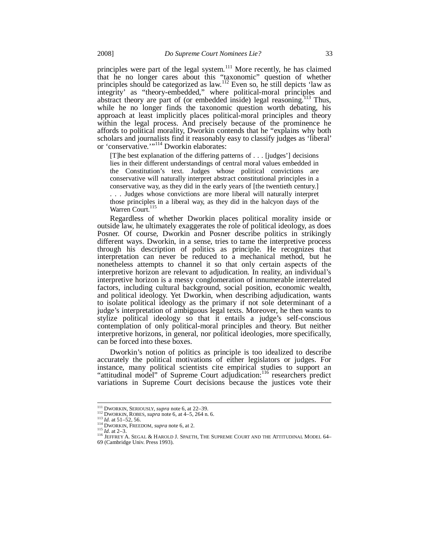principles were part of the legal system. $111$  More recently, he has claimed that he no longer cares about this "taxonomic" question of whether principles should be categorized as law.<sup>112</sup> Even so, he still depicts 'law as integrity' as "theory-embedded," where political-moral principles and abstract theory are part of (or embedded inside) legal reasoning.<sup>113</sup> Thus, while he no longer finds the taxonomic question worth debating, his approach at least implicitly places political-moral principles and theory within the legal process. And precisely because of the prominence he affords to political morality, Dworkin contends that he "explains why both scholars and journalists find it reasonably easy to classify judges as 'liberal' or 'conservative.'"<sup>114</sup> Dworkin elaborates:

[T]he best explanation of the differing patterns of . . . [judges'] decisions lies in their different understandings of central moral values embedded in the Constitution's text. Judges whose political convictions are conservative will naturally interpret abstract constitutional principles in a conservative way, as they did in the early years of [the twentieth century.] . . . Judges whose convictions are more liberal will naturally interpret those principles in a liberal way, as they did in the halcyon days of the Warren Court.<sup>115</sup>

Regardless of whether Dworkin places political morality inside or outside law, he ultimately exaggerates the role of political ideology, as does Posner. Of course, Dworkin and Posner describe politics in strikingly different ways. Dworkin, in a sense, tries to tame the interpretive process through his description of politics as principle. He recognizes that interpretation can never be reduced to a mechanical method, but he nonetheless attempts to channel it so that only certain aspects of the interpretive horizon are relevant to adjudication. In reality, an individual's interpretive horizon is a messy conglomeration of innumerable interrelated factors, including cultural background, social position, economic wealth, and political ideology. Yet Dworkin, when describing adjudication, wants to isolate political ideology as the primary if not sole determinant of a judge's interpretation of ambiguous legal texts. Moreover, he then wants to stylize political ideology so that it entails a judge's self-conscious contemplation of only political-moral principles and theory. But neither interpretive horizons, in general, nor political ideologies, more specifically, can be forced into these boxes.

Dworkin's notion of politics as principle is too idealized to describe accurately the political motivations of either legislators or judges. For instance, many political scientists cite empirical studies to support an "attitudinal model" of Supreme Court adjudication:<sup>116</sup> researchers predict variations in Supreme Court decisions because the justices vote their

<sup>111</sup> DWORKIN, SERIOUSLY, *supra* note 6, at 22–39. <sup>112</sup> DWORKIN, ROBES, *supra* note 6, at 4–5, 264 n. 6.

 $\frac{113}{1}$ *Id.* at 51–52, 56.

<sup>&</sup>lt;sup>114</sup> DWORKIN, FREEDOM, *supra* note 6, at 2.<br>  $\frac{115}{115}$  *Id.* at 2–3.

<sup>116</sup> JEFFREY A. SEGAL & HAROLD J. SPAETH, THE SUPREME COURT AND THE ATTITUDINAL MODEL 64– 69 (Cambridge Univ. Press 1993).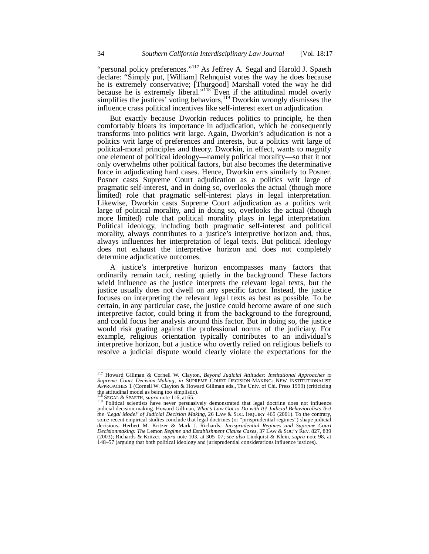"personal policy preferences."<sup>117</sup> As Jeffrey A. Segal and Harold J. Spaeth declare: "Simply put, [William] Rehnquist votes the way he does because he is extremely conservative; [Thurgood] Marshall voted the way he did because he is extremely liberal."<sup>118</sup> Even if the attitudinal model overly simplifies the justices' voting behaviors,<sup>119</sup> Dworkin wrongly dismisses the influence crass political incentives like self-interest exert on adjudication.

But exactly because Dworkin reduces politics to principle, he then comfortably bloats its importance in adjudication, which he consequently transforms into politics writ large. Again, Dworkin's adjudication is not a politics writ large of preferences and interests, but a politics writ large of political-moral principles and theory. Dworkin, in effect, wants to magnify one element of political ideology—namely political morality—so that it not only overwhelms other political factors, but also becomes the determinative force in adjudicating hard cases. Hence, Dworkin errs similarly to Posner. Posner casts Supreme Court adjudication as a politics writ large of pragmatic self-interest, and in doing so, overlooks the actual (though more limited) role that pragmatic self-interest plays in legal interpretation. Likewise, Dworkin casts Supreme Court adjudication as a politics writ large of political morality, and in doing so, overlooks the actual (though more limited) role that political morality plays in legal interpretation. Political ideology, including both pragmatic self-interest and political morality, always contributes to a justice's interpretive horizon and, thus, always influences her interpretation of legal texts. But political ideology does not exhaust the interpretive horizon and does not completely determine adjudicative outcomes.

A justice's interpretive horizon encompasses many factors that ordinarily remain tacit, resting quietly in the background. These factors wield influence as the justice interprets the relevant legal texts, but the justice usually does not dwell on any specific factor. Instead, the justice focuses on interpreting the relevant legal texts as best as possible. To be certain, in any particular case, the justice could become aware of one such interpretive factor, could bring it from the background to the foreground, and could focus her analysis around this factor. But in doing so, the justice would risk grating against the professional norms of the judiciary. For example, religious orientation typically contributes to an individual's interpretive horizon, but a justice who overtly relied on religious beliefs to resolve a judicial dispute would clearly violate the expectations for the

<sup>117</sup> Howard Gillman & Cornell W. Clayton, *Beyond Judicial Attitudes: Institutional Approaches to Supreme Court Decision-Making*, *in* SUPREME COURT DECISION-MAKING: NEW INSTITUTIONALIST APPROACHES 1 (Cornell W. Clayton & Howard Gillman eds., The Univ. of Chi. Press 1999) (criticizing the attitudinal model as being too simplistic). <sup>118</sup> SEGAL & SPAETH, *supra* note 116, at 65.

<sup>&</sup>lt;sup>119</sup> Political scientists have never persuasively demonstrated that legal doctrine does not influence judicial decision making. Howard Gillman, *What's Law Got to Do with It? Judicial Behavioralists Test the 'Legal Model' of Judicial Decision Making*, 26 LAW & SOC. INQUIRY 465 (2001). To the contrary, some recent empirical studies conclude that legal doctrines (or "jurisprudential regimes") shape judicial decisions. Herbert M. Kritzer & Mark J. Richards, *Jurisprudential Regimes and Supreme Court Decisionmaking: The* Lemon *Regime and Establishment Clause Cases*, 37 LAW & SOC'Y REV. 827, 839 (2003); Richards & Kritzer, *supra* note 103, at 305–07; *see also* Lindquist & Klein, *supra* note 98, at 148–57 (arguing that both political ideology and jurisprudential considerations influence justices).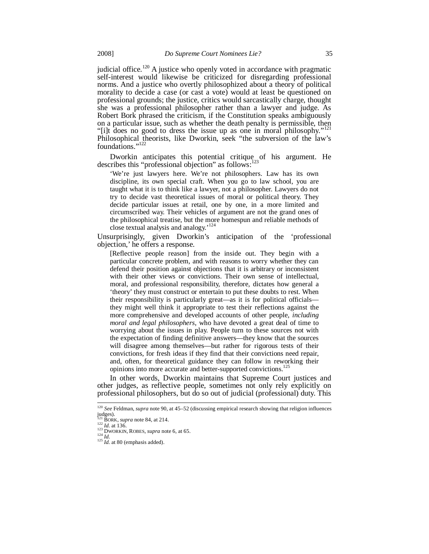judicial office.<sup>120</sup> A justice who openly voted in accordance with pragmatic self-interest would likewise be criticized for disregarding professional norms. And a justice who overtly philosophized about a theory of political morality to decide a case (or cast a vote) would at least be questioned on professional grounds; the justice, critics would sarcastically charge, thought she was a professional philosopher rather than a lawyer and judge. As Robert Bork phrased the criticism, if the Constitution speaks ambiguously on a particular issue, such as whether the death penalty is permissible, then "[i]t does no good to dress the issue up as one in moral philosophy." Philosophical theorists, like Dworkin, seek "the subversion of the law's foundations."<sup>122</sup>

Dworkin anticipates this potential critique of his argument. He describes this "professional objection" as follows:<sup>123</sup>

'We're just lawyers here. We're not philosophers. Law has its own discipline, its own special craft. When you go to law school, you are taught what it is to think like a lawyer, not a philosopher. Lawyers do not try to decide vast theoretical issues of moral or political theory. They decide particular issues at retail, one by one, in a more limited and circumscribed way. Their vehicles of argument are not the grand ones of the philosophical treatise, but the more homespun and reliable methods of close textual analysis and analogy.'<sup>124</sup>

Unsurprisingly, given Dworkin's anticipation of the 'professional objection,' he offers a response.

[Reflective people reason] from the inside out. They begin with a particular concrete problem, and with reasons to worry whether they can defend their position against objections that it is arbitrary or inconsistent with their other views or convictions. Their own sense of intellectual, moral, and professional responsibility, therefore, dictates how general a 'theory' they must construct or entertain to put these doubts to rest. When their responsibility is particularly great—as it is for political officials they might well think it appropriate to test their reflections against the more comprehensive and developed accounts of other people, *including moral and legal philosophers*, who have devoted a great deal of time to worrying about the issues in play. People turn to these sources not with the expectation of finding definitive answers—they know that the sources will disagree among themselves—but rather for rigorous tests of their convictions, for fresh ideas if they find that their convictions need repair, and, often, for theoretical guidance they can follow in reworking their opinions into more accurate and better-supported convictions.<sup>125</sup>

In other words, Dworkin maintains that Supreme Court justices and other judges, as reflective people, sometimes not only rely explicitly on professional philosophers, but do so out of judicial (professional) duty. This

<sup>120</sup> *See* Feldman, *supra* note 90, at 45–52 (discussing empirical research showing that religion influences judges).

 $\frac{121}{121}$  BORK, *supra* note 84, at 214.

<sup>122</sup> *Id.* at 136. <sup>123</sup> DWORKIN, ROBES, *supra* note 6, at 65.

 $^{124}$  *Id.* 

 $\frac{125}{1}$ *Id.* at 80 (emphasis added).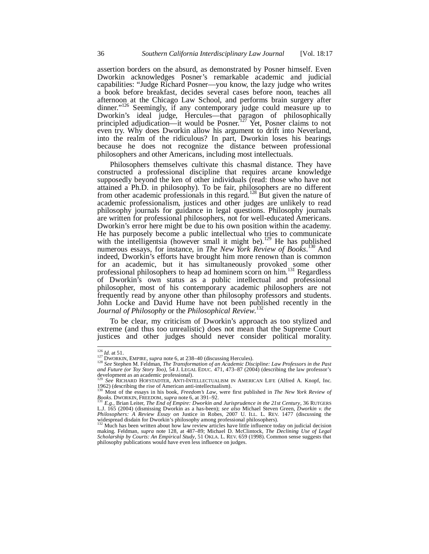assertion borders on the absurd, as demonstrated by Posner himself. Even Dworkin acknowledges Posner's remarkable academic and judicial capabilities: "Judge Richard Posner—you know, the lazy judge who writes a book before breakfast, decides several cases before noon, teaches all afternoon at the Chicago Law School, and performs brain surgery after dinner."<sup>126</sup> Seemingly, if any contemporary judge could measure up to Dworkin's ideal judge, Hercules—that paragon of philosophically principled adjudication—it would be Posner.<sup>127</sup> Yet, Posner claims to not even try. Why does Dworkin allow his argument to drift into Neverland, into the realm of the ridiculous? In part, Dworkin loses his bearings because he does not recognize the distance between professional philosophers and other Americans, including most intellectuals.

Philosophers themselves cultivate this chasmal distance. They have constructed a professional discipline that requires arcane knowledge supposedly beyond the ken of other individuals (read: those who have not attained a Ph.D. in philosophy). To be fair, philosophers are no different from other academic professionals in this regard.<sup>128</sup> But given the nature of academic professionalism, justices and other judges are unlikely to read philosophy journals for guidance in legal questions. Philosophy journals are written for professional philosophers, not for well-educated Americans. Dworkin's error here might be due to his own position within the academy. He has purposely become a public intellectual who tries to communicate with the intelligentsia (however small it might be).<sup>129</sup> He has published numerous essays, for instance, in *The New York Review of Books*. <sup>130</sup> And indeed, Dworkin's efforts have brought him more renown than is common for an academic, but it has simultaneously provoked some other professional philosophers to heap ad hominem scorn on him.<sup>131</sup> Regardless of Dworkin's own status as a public intellectual and professional philosopher, most of his contemporary academic philosophers are not frequently read by anyone other than philosophy professors and students. John Locke and David Hume have not been published recently in the *Journal of Philosophy* or the *Philosophical Review*. 132

To be clear, my criticism of Dworkin's approach as too stylized and extreme (and thus too unrealistic) does not mean that the Supreme Court justices and other judges should never consider political morality.

 $\frac{126}{12}$ *Id.* at 51.

<sup>&</sup>lt;sup>127</sup> DWORKIN, EMPIRE, *supra* note 6, at 238–40 (discussing Hercules).<br><sup>128</sup> See Stephen M. Feldman, *The Transformation of an Academic Discipline: Law Professors in the Past*<br>*and Future (or Toy Story Too)*, 54 J. LEGAL development as an academic professional). <sup>129</sup> *See* RICHARD HOFSTADTER, ANTI-INTELLECTUALISM IN AMERICAN LIFE (Alfred A. Knopf, Inc.

<sup>1962) (</sup>describing the rise of American anti-intellectualism).<br>1962) (describing the rise of American anti-intellectualism).

<sup>130</sup> Most of the essays in his book, *Freedom's Law*, were first published in *The New York Review of Books*. DWORKIN, FREEDOM, *supra* note 6, at 391–92.

<sup>131</sup> *E.g.,* Brian Leiter, *The End of Empire: Dworkin and Jurisprudence in the 21st Century*, 36 RUTGERS L.J. 165 (2004) (dismissing Dworkin as a has-been); see also Michael Steven Green, *Dworkin v. the Philosophers: A Review Essay on Justice in Robes, 2007 U. ILL. L. REV. 1477 (discussing the widespread disdain for Dworkin'* 

<sup>&</sup>lt;sup>132</sup> Much has been written about how law review articles have little influence today on judicial decision making. Feldman, *supra* note 128, at 487–89; Michael D. McClintock, *The Declining Use of Legal Scholarship by Courts: An Empirical Study*, 51 OKLA. L. REV. 659 (1998). Common sense suggests that philosophy publications would have even less influence on judges.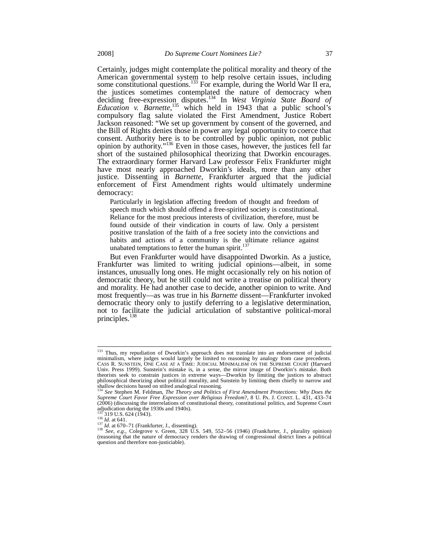Certainly, judges might contemplate the political morality and theory of the American governmental system to help resolve certain issues, including some constitutional questions.<sup>133</sup> For example, during the World War II era, the justices sometimes contemplated the nature of democracy when deciding free-expression disputes.<sup>134</sup> In *West Virginia State Board of* Education v. Barnette,<sup>135</sup> which held in 1943 that a public school's compulsory flag salute violated the First Amendment, Justice Robert Jackson reasoned: "We set up government by consent of the governed, and the Bill of Rights denies those in power any legal opportunity to coerce that consent. Authority here is to be controlled by public opinion, not public opinion by authority."<sup>136</sup> Even in those cases, however, the justices fell far short of the sustained philosophical theorizing that Dworkin encourages. The extraordinary former Harvard Law professor Felix Frankfurter might have most nearly approached Dworkin's ideals, more than any other justice. Dissenting in *Barnette*, Frankfurter argued that the judicial enforcement of First Amendment rights would ultimately undermine democracy:

Particularly in legislation affecting freedom of thought and freedom of speech much which should offend a free-spirited society is constitutional. Reliance for the most precious interests of civilization, therefore, must be found outside of their vindication in courts of law. Only a persistent positive translation of the faith of a free society into the convictions and habits and actions of a community is the ultimate reliance against unabated temptations to fetter the human spirit. $137$ 

But even Frankfurter would have disappointed Dworkin. As a justice, Frankfurter was limited to writing judicial opinions—albeit, in some instances, unusually long ones. He might occasionally rely on his notion of democratic theory, but he still could not write a treatise on political theory and morality. He had another case to decide, another opinion to write. And most frequently—as was true in his *Barnette* dissent—Frankfurter invoked democratic theory only to justify deferring to a legislative determination, not to facilitate the judicial articulation of substantive political-moral principles. $\frac{1}{3}$ 

<sup>&</sup>lt;sup>133</sup> Thus, my repudiation of Dworkin's approach does not translate into an endorsement of judicial minimalism, where judges would largely be limited to reasoning by analogy from case precedents. CASS R. SUNSTEIN, ONE CASE AT A TIME: JUDICIAL MINIMALISM ON THE SUPREME COURT (Harvard Univ. Press 1999). Sunstein's mistake is, in a sense, the mirror image of Dworkin's mistake. Both theorists seek to constrain justices in extreme ways—Dworkin by limiting the justices to abstract philosophical theorizing about political morality, and Sunstein by limiting them chiefly to narrow and shallow decisions based on stilted analogical reasoning.

<sup>134</sup> *See* Stephen M. Feldman, *The Theory and Politics of First Amendment Protections: Why Does the Supreme Court Favor Free Expression over Religious Freedom*?, 8 U. PA. J. CONST. L. 431, 433–74 (2006) (discussing the interrelations of constitutional theory, constitutional politics, and Supreme Court adjudication during the 1930s and 1940s).<br><sup>135</sup> 319 U.S. 624 (1943).<br><sup>136</sup> *Id.* at 641.

<sup>137</sup> *Id*. at 670–71 (Frankfurter, J., dissenting). <sup>138</sup> *See, e.g.,* Colegrove v. Green, 328 U.S. 549, 552–56 (1946) (Frankfurter, J., plurality opinion) (reasoning that the nature of democracy renders the drawing of congressional district lines a political question and therefore non-justiciable).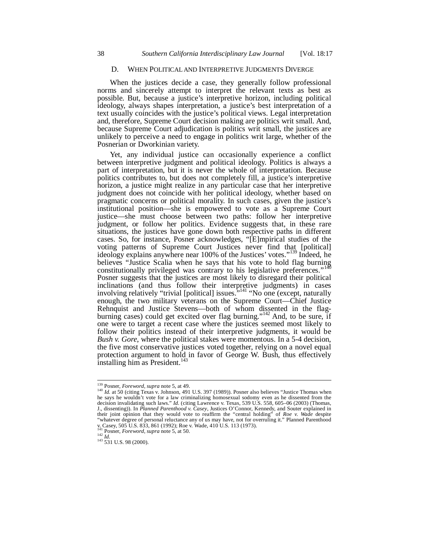#### D. WHEN POLITICAL AND INTERPRETIVE JUDGMENTS DIVERGE

When the justices decide a case, they generally follow professional norms and sincerely attempt to interpret the relevant texts as best as possible. But, because a justice's interpretive horizon, including political ideology, always shapes interpretation, a justice's best interpretation of a text usually coincides with the justice's political views. Legal interpretation and, therefore, Supreme Court decision making are politics writ small. And, because Supreme Court adjudication is politics writ small, the justices are unlikely to perceive a need to engage in politics writ large, whether of the Posnerian or Dworkinian variety.

Yet, any individual justice can occasionally experience a conflict between interpretive judgment and political ideology. Politics is always a part of interpretation, but it is never the whole of interpretation. Because politics contributes to, but does not completely fill, a justice's interpretive horizon, a justice might realize in any particular case that her interpretive judgment does not coincide with her political ideology, whether based on pragmatic concerns or political morality. In such cases, given the justice's institutional position—she is empowered to vote as a Supreme Court justice—she must choose between two paths: follow her interpretive judgment, or follow her politics. Evidence suggests that, in these rare situations, the justices have gone down both respective paths in different cases. So, for instance, Posner acknowledges, "[E]mpirical studies of the voting patterns of Supreme Court Justices never find that [political] ideology explains anywhere near 100% of the Justices' votes."<sup>139</sup> Indeed, he believes "Justice Scalia when he says that his vote to hold flag burning constitutionally privileged was contrary to his legislative preferences."<sup>140</sup> Posner suggests that the justices are most likely to disregard their political inclinations (and thus follow their interpretive judgments) in cases involving relatively "trivial [political] issues.<sup>1,141</sup> "No one (except, naturally enough, the two military veterans on the Supreme Court—Chief Justice Rehnquist and Justice Stevens—both of whom dissented in the flagburning cases) could get excited over flag burning."<sup>142</sup> And, to be sure, if one were to target a recent case where the justices seemed most likely to follow their politics instead of their interpretive judgments, it would be *Bush v. Gore*, where the political stakes were momentous. In a 5-4 decision, the five most conservative justices voted together, relying on a novel equal protection argument to hold in favor of George W. Bush, thus effectively installing him as President.<sup>143</sup>

<sup>139</sup> Posner, *Foreword*, *supra* note 5, at 49.

<sup>&</sup>lt;sup>140</sup> *Id.* at 50 (citing Texas v. Johnson, 491 U.S. 397 (1989)). Posner also believes "Justice Thomas when he says he wouldn't vote for a law criminalizing homosexual sodomy even as he dissented from the decision invalidating such laws." *Id.* (citing Lawrence v. Texas, 539 U.S. 558, 605–06 (2003) (Thomas, J., dissenting)). In *Planned Parenthood v. Casey*, Justices O'Connor, Kennedy, and Souter explained in their joint opinion that they would vote to reaffirm the "central holding" of *Roe v. Wade* despite "whatever degree of personal reluctance any of us may have, not for overruling it." Planned Parenthood v. Casey, 505 U.S. 833, 861 (1992); Roe v. Wade, 410 U.S. 113 (1973).

Posner, *Foreword*, *supra* note 5, at 50.

<sup>142</sup> *Id.*

<sup>&</sup>lt;sup>143</sup> 531 U.S. 98 (2000).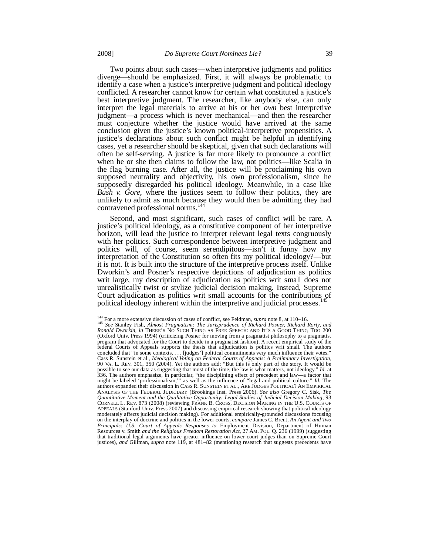Two points about such cases—when interpretive judgments and politics diverge—should be emphasized. First, it will always be problematic to identify a case when a justice's interpretive judgment and political ideology conflicted. A researcher cannot know for certain what constituted a justice's best interpretive judgment. The researcher, like anybody else, can only interpret the legal materials to arrive at his or her *own* best interpretive judgment—a process which is never mechanical—and then the researcher must conjecture whether the justice would have arrived at the same conclusion given the justice's known political-interpretive propensities. A justice's declarations about such conflict might be helpful in identifying cases, yet a researcher should be skeptical, given that such declarations will often be self-serving. A justice is far more likely to pronounce a conflict when he or she then claims to follow the law, not politics—like Scalia in the flag burning case. After all, the justice will be proclaiming his own supposed neutrality and objectivity, his own professionalism, since he supposedly disregarded his political ideology. Meanwhile, in a case like *Bush v. Gore*, where the justices seem to follow their politics, they are unlikely to admit as much because they would then be admitting they had contravened professional norms.<sup>144</sup>

Second, and most significant, such cases of conflict will be rare. A justice's political ideology, as a constitutive component of her interpretive horizon, will lead the justice to interpret relevant legal texts congruously with her politics. Such correspondence between interpretive judgment and politics will, of course, seem serendipitous—isn't it funny how my interpretation of the Constitution so often fits my political ideology?—but it is not. It is built into the structure of the interpretive process itself. Unlike Dworkin's and Posner's respective depictions of adjudication as politics writ large, my description of adjudication as politics writ small does not unrealistically twist or stylize judicial decision making. Instead, Supreme Court adjudication as politics writ small accounts for the contributions of political ideology inherent within the interpretive and judicial processes.<sup>1</sup>

<sup>&</sup>lt;sup>144</sup> For a more extensive discussion of cases of conflict, see Feldman, *supra* note 8, at 110–16.

<sup>145</sup> *See* Stanley Fish, *Almost Pragmatism: The Jurisprudence of Richard Posner, Richard Rorty, and Ronald Dworkin*, *in* THERE'S NO SUCH THING AS FREE SPEECH: AND IT'S A GOOD THING, TOO 200 (Oxford Univ. Press 1994) (criticizing Posner for moving from a pragmatist philosophy to a pragmatist program that advocated for the Court to decide in a pragmatist fashion). A recent empirical study of the federal Courts of Appeals supports the thesis that adjudication is politics writ small. The authors concluded that "in some contexts, . . . [judges'] political commitments very much influence their votes." Cass R. Sunstein et al., *Ideological Voting on Federal Courts of Appeals: A Preliminary Investigation*, 90 VA. L. REV. 301, 350 (2004). Yet the authors add: "But this is only part of the story. It would be possible to see our data as suggesting that most of the time, the law is what matters, not ideology." *Id.* at 336. The authors emphasize, in particular, "the disciplining effect of precedent and law—a factor that<br>might be labeled 'professionalism,'" as well as the influence of "legal and political culture." Id. The<br>authors expande ANALYSIS OF THE FEDERAL JUDICIARY (Brookings Inst. Press 2006). *See also* Gregory C. Sisk, *The Quantitative Moment and the Qualitative Opportunity: Legal Studies of Judicial Decision Making*, 93 CORNELL L. REV. 873 (2008) (reviewing FRANK B. CROSS, DECISION MAKING IN THE U.S. COURTS OF APPEALS (Stanford Univ. Press 2007) and discussing empirical research showing that political ideology moderately affects judicial decision making). For additional empirically-grounded discussions focusing on the interplay of doctrine and politics in the lower courts, *compare* James C. Brent, *An Agent and Two Principals: U.S. Court of Appeals Responses to* Employment Division, Department of Human Resources v. Smith *and the Religious Freedom Restoration Act*, 27 AM. POL. Q. 236 (1999) (suggesting that traditional legal arguments have greater influence on lower court judges than on Supreme Court justices), *and* Gillman, *supra* note 119, at 481–82 (mentioning research that suggests precedents have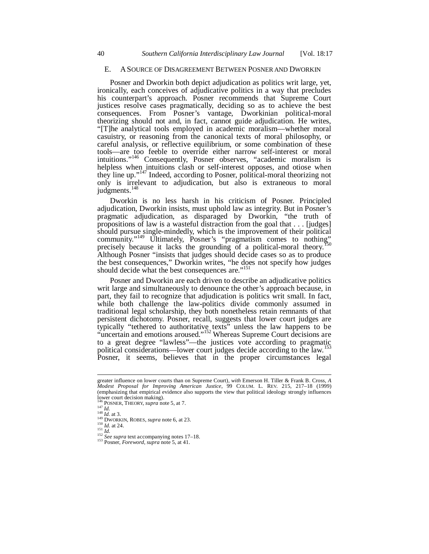## E. ASOURCE OF DISAGREEMENT BETWEEN POSNER AND DWORKIN

Posner and Dworkin both depict adjudication as politics writ large, yet, ironically, each conceives of adjudicative politics in a way that precludes his counterpart's approach. Posner recommends that Supreme Court justices resolve cases pragmatically, deciding so as to achieve the best consequences. From Posner's vantage, Dworkinian political-moral theorizing should not and, in fact, cannot guide adjudication. He writes, "[T]he analytical tools employed in academic moralism—whether moral casuistry, or reasoning from the canonical texts of moral philosophy, or careful analysis, or reflective equilibrium, or some combination of these tools—are too feeble to override either narrow self-interest or moral intuitions."<sup>146</sup> Consequently, Posner observes, "academic moralism is helpless when intuitions clash or self-interest opposes, and otiose when they line up."<sup>147</sup> Indeed, according to Posner, political-moral theorizing not only is irrelevant to adjudication, but also is extraneous to moral judgments.<sup>148</sup>

Dworkin is no less harsh in his criticism of Posner. Principled adjudication, Dworkin insists, must uphold law as integrity. But in Posner's pragmatic adjudication, as disparaged by Dworkin, "the truth of propositions of law is a wasteful distraction from the goal that . . . [judges] should pursue single-mindedly, which is the improvement of their political community."<sup>149</sup> Ultimately, Posner's "pragmatism comes to nothing". precisely because it lacks the grounding of a political-moral theory.<sup>150</sup> Although Posner "insists that judges should decide cases so as to produce the best consequences," Dworkin writes, "he does not specify how judges should decide what the best consequences are."<sup>151</sup>

Posner and Dworkin are each driven to describe an adjudicative politics writ large and simultaneously to denounce the other's approach because, in part, they fail to recognize that adjudication is politics writ small. In fact, while both challenge the law-politics divide commonly assumed in traditional legal scholarship, they both nonetheless retain remnants of that persistent dichotomy. Posner, recall, suggests that lower court judges are typically "tethered to authoritative texts" unless the law happens to be "uncertain and emotions aroused."<sup>152</sup> Whereas Supreme Court decisions are to a great degree "lawless"—the justices vote according to pragmatic political considerations—lower court judges decide according to the law.<sup>153</sup> Posner, it seems, believes that in the proper circumstances legal

greater influence on lower courts than on Supreme Court), *with* Emerson H. Tiller & Frank B. Cross, *A Modest Proposal for Improving American Justice*, 99 COLUM. L. REV. 215, 217–18 (1999) (emphasizing that empirical evidence also supports the view that political ideology strongly influences lower court decision making). <sup>146</sup> POSNER, THEORY, *supra* note 5, at 7.

<sup>147</sup> *Id.* <sup>148</sup> *Id.* at 3.

 $^{149}$  DWORKIN, ROBES, *supra* note 6, at 23.

<sup>150</sup> *Id.* at 24.

<sup>151</sup> *Id.* <sup>152</sup> *See supra* text accompanying notes 17–18.

<sup>153</sup> Posner, *Foreword*, *supra* note 5, at 41.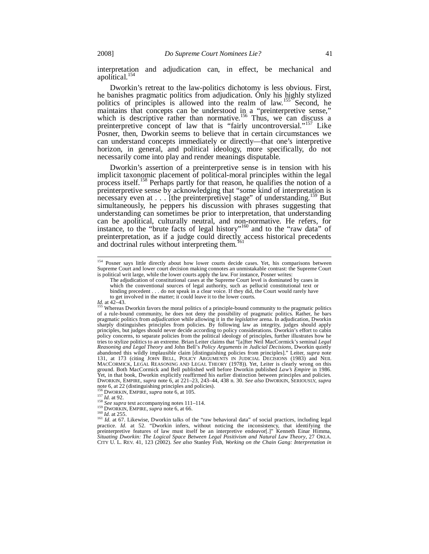interpretation and adjudication can, in effect, be mechanical and apolitical.<sup>154</sup>

Dworkin's retreat to the law-politics dichotomy is less obvious. First, he banishes pragmatic politics from adjudication. Only his highly stylized politics of principles is allowed into the realm of law.<sup>155</sup> Second, he maintains that concepts can be understood in a "preinterpretive sense," which is descriptive rather than normative.<sup>156</sup> Thus, we can discuss a preinterpretive concept of law that is "fairly uncontroversial."<sup>157</sup> Like Posner, then, Dworkin seems to believe that in certain circumstances we can understand concepts immediately or directly—that one's interpretive horizon, in general, and political ideology, more specifically, do not necessarily come into play and render meanings disputable.

Dworkin's assertion of a preinterpretive sense is in tension with his implicit taxonomic placement of political-moral principles within the legal process itself.<sup>158</sup> Perhaps partly for that reason, he qualifies the notion of a preinterpretive sense by acknowledging that "some kind of interpretation is necessary even at . . . [the preinterpretive] stage" of understanding.<sup>159</sup> But necessary even at  $\dots$  [the preinterpretive] stage" of understanding.<sup>1</sup> simultaneously, he peppers his discussion with phrases suggesting that understanding can sometimes be prior to interpretation, that understanding can be apolitical, culturally neutral, and non-normative. He refers, for instance, to the "brute facts of legal history"<sup>160</sup> and to the "raw data" of preinterpretation, as if a judge could directly access historical precedents and doctrinal rules without interpreting them.<sup>161</sup>

<sup>&</sup>lt;sup>154</sup> Posner says little directly about how lower courts decide cases. Yet, his comparisons between Supreme Court and lower court decision making connotes an unmistakable contrast: the Supreme Court is political writ large, while the lower courts apply the law. For instance, Posner writes:

The adjudication of constitutional cases at the Supreme Court level is dominated by cases in which the conventional sources of legal authority, such as pellucid constitutional text or binding precedent . . . do not speak in a clear voice. If they did, the Court would rarely have to get involved in the matter; it could leave it to the lower courts.

*Id.* at 42–43. <sup>155</sup> Whereas Dworkin favors the moral politics of a principle-bound community to the pragmatic politics of a rule-bound community, he does not deny the possibility of pragmatic politics. Rather, he bars pragmatic politics from *adjudication* while allowing it in the *legislative* arena. In adjudication, Dworkin sharply distinguishes principles from policies. By following law as integrity, judges should apply principles, but judges should never decide according to policy considerations. Dworkin's effort to cabin policy concerns, to separate policies from the political ideology of principles, further illustrates how he tries to stylize politics to an extreme. Brian Leiter claims that "[a]fter Neil MacCormick's seminal *Legal Reasoning and Legal Theory* and John Bell's *Policy Arguments in Judicial Decisions*, Dworkin quietly abandoned this wildly implausible claim [distinguishing policies from principles]." Leiter, *supra* note 131, at 173 (citing JOHN BELL, POLICY ARGUMENTS IN JUDICIAL DECISIONS (1983) and NEIL<br>MACCORMICK, LEGAL REASONING AND LEGAL THEORY (1978)). Yet, Leiter is clearly wrong on this ground. Both MacCormick and Bell published well before Dworkin published *Law's Empire* in 1986. Yet, in that book, Dworkin explicitly reaffirmed his earlier distinction between principles and policies. DWORKIN, EMPIRE, *supra* note 6, at 221–23, 243–44, 438 n. 30. *See also* DWORKIN, SERIOUSLY, *supra* note 6, at 22 (distinguishing principles and policies).

<sup>&</sup>lt;sup>156</sup> DWORKIN, EMPIRE, *supra* note 6, at 105.

<sup>&</sup>lt;sup>157</sup> *Id.* at 92.<br><sup>158</sup> *See supra* text accompanying notes 111–114.

<sup>159</sup> DWORKIN, EMPIRE, *supra* note 6, at 66. <sup>160</sup> *Id.* at 255.

<sup>161</sup> *Id.* at 67. Likewise, Dworkin talks of the "raw behavioral data" of social practices, including legal data in the identifying the practice. *Id.* at 52. "Dworkin infers, without noticing the inconsistency, that identifying the preinterpretive features of law must itself be an interpretive endeavor[.]" Kenneth Einar Himma, *Situating Dworkin: The Logical Space Between Legal Positivism and Natural Law Theory*, 27 OKLA. CITY U. L. REV. 41, 123 (2002). *See also* Stanley Fish, *Working on the Chain Gang: Interpretation in*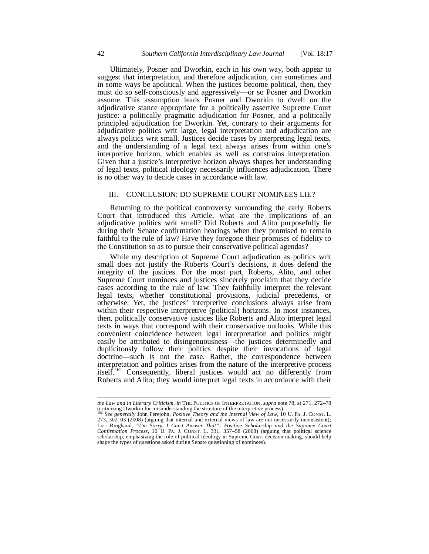Ultimately, Posner and Dworkin, each in his own way, both appear to suggest that interpretation, and therefore adjudication, can sometimes and in some ways be apolitical. When the justices become political, then, they must do so self-consciously and aggressively—or so Posner and Dworkin assume. This assumption leads Posner and Dworkin to dwell on the adjudicative stance appropriate for a politically assertive Supreme Court justice: a politically pragmatic adjudication for Posner, and a politically principled adjudication for Dworkin. Yet, contrary to their arguments for adjudicative politics writ large, legal interpretation and adjudication are always politics writ small. Justices decide cases by interpreting legal texts, and the understanding of a legal text always arises from within one's interpretive horizon, which enables as well as constrains interpretation. Given that a justice's interpretive horizon always shapes her understanding of legal texts, political ideology necessarily influences adjudication. There is no other way to decide cases in accordance with law.

# III. CONCLUSION: DO SUPREME COURT NOMINEES LIE?

Returning to the political controversy surrounding the early Roberts Court that introduced this Article, what are the implications of an adjudicative politics writ small? Did Roberts and Alito purposefully lie during their Senate confirmation hearings when they promised to remain faithful to the rule of law? Have they foregone their promises of fidelity to the Constitution so as to pursue their conservative political agendas?

While my description of Supreme Court adjudication as politics writ small does not justify the Roberts Court's decisions, it does defend the integrity of the justices. For the most part, Roberts, Alito, and other Supreme Court nominees and justices sincerely proclaim that they decide cases according to the rule of law. They faithfully interpret the relevant legal texts, whether constitutional provisions, judicial precedents, or otherwise. Yet, the justices' interpretive conclusions always arise from within their respective interpretive (political) horizons. In most instances, then, politically conservative justices like Roberts and Alito interpret legal texts in ways that correspond with their conservative outlooks. While this convenient coincidence between legal interpretation and politics might easily be attributed to disingenuousness—the justices determinedly and duplicitously follow their politics despite their invocations of legal doctrine—such is not the case. Rather, the correspondence between interpretation and politics arises from the nature of the interpretive process itself.<sup>162</sup> Consequently, liberal justices would act no differently from Roberts and Alito; they would interpret legal texts in accordance with their

*the Law and in Literary Criticism*, *in* THE POLITICS OF INTERPRETATION, *supra* note 78, at 271, 272–78 (criticizing Dworkin for misunderstanding the structure of the interpretive process). <sup>162</sup> *See generally* John Ferejohn, *Positive Theory and the Internal View of Law*, 10 U. PA. J. CONST. L.

<sup>273, 302–03 (2008) (</sup>arguing that internal and external views of law are not necessarily inconsistent); Lori Ringhand, *"I'm Sorry, I Can't Answer That": Positive Scholarship and the Supreme Court Confirmation Process*, 10 U. PA. J. CONST. L. 331, 357–58 (2008) (arguing that political science scholarship, emphasizing the role of political ideology in Supreme Court decision making, should help shape the types of questions asked during Senate questioning of nominees).